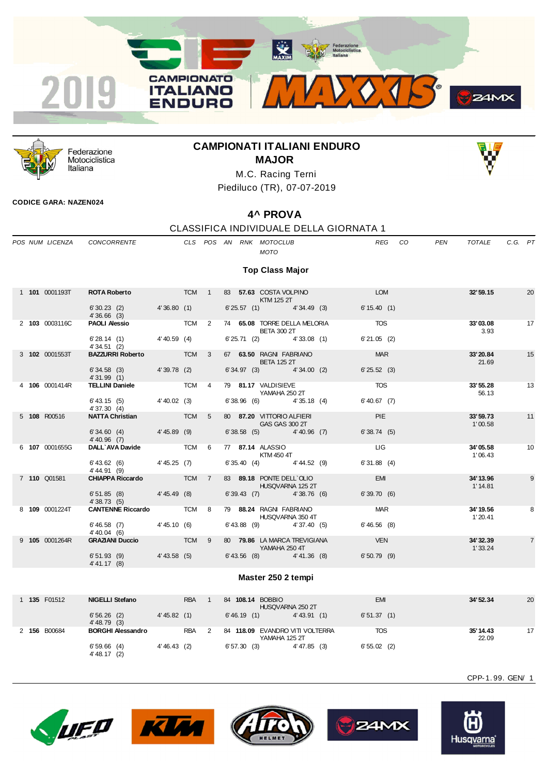



Federazione Motociclistica Italiana

# **CAMPIONATI ITALIANI ENDURO MAJOR**



M.C. Racing Terni Piediluco (TR), 07-07-2019

### **CODICE GARA: NAZEN024**

# **4^ PROVA**

## CLASSIFICA INDIVIDUALE DELLA GIORNATA 1

|  | POS NUM LICENZA       | CONCORRENTE                                   |       |            |                |  | CLS POS AN RNK MOTOCLUB<br><b>MOTO</b>                           | <b>REG</b>                 | CO. | PEN | <b>TOTALE</b>         | $C.G.$ $PT$ |                |
|--|-----------------------|-----------------------------------------------|-------|------------|----------------|--|------------------------------------------------------------------|----------------------------|-----|-----|-----------------------|-------------|----------------|
|  |                       |                                               |       |            |                |  | <b>Top Class Major</b>                                           |                            |     |     |                       |             |                |
|  | 1 <b>101</b> 0001193T | ROTA Roberto TCM 1                            |       |            |                |  | 83 57.63 COSTA VOLPINO<br><b>KTM 125 2T</b>                      | <b>EXAMPLE DESCRIPTION</b> |     |     | 32'59.15              |             | 20             |
|  |                       | $6'30.23$ (2) $4'36.80$ (1)<br>4'36.66(3)     |       |            |                |  | $6'25.57(1)$ 4'34.49 (3)                                         | 6' 15.40(1)                |     |     |                       |             |                |
|  | 2 103 0003116C        | <b>PAOLI Alessio</b> TCM 2                    |       |            |                |  | 74 65.08 TORRE DELLA MELORIA TOS<br><b>BETA 300 2T</b>           |                            |     |     | 33'03.08<br>3.93      |             | 17             |
|  |                       | $6'28.14$ (1) $4'40.59$ (4)<br>4'34.51(2)     |       |            |                |  | $6'25.71$ (2) $4'33.08$ (1)                                      | 6'21.05(2)                 |     |     |                       |             |                |
|  | 3 102 0001553T        | BAZZURRI Roberto TCM 3                        |       |            |                |  | 67 63.50 RAGNI FABRIANO<br><b>BETA 125 2T</b>                    | <b>MAR</b>                 |     |     | 33'20.84<br>21.69     |             | 15             |
|  |                       | $6'34.58$ (3) $4'39.78$ (2)<br>4'31.99(1)     |       |            |                |  | 6' 34.97 (3) 4' 34.00 (2)                                        | 6'25.52(3)                 |     |     |                       |             |                |
|  | 4 106 0001414R        | TELLINI Daniele TCM 4                         |       |            |                |  | 79 81.17 VALDISIEVE<br>YAMAHA 250 2T                             | <b>TOS</b>                 |     |     | 33'55.28<br>56.13     |             | 13             |
|  |                       | $6'$ 43.15 (5) 4' 40.02 (3)<br>4'37.30(4)     |       |            |                |  | $6'38.96$ (6) $4'35.18$ (4)                                      | 6' 40.67 (7)               |     |     |                       |             |                |
|  | 5 108 R00516          | <b>NATTA Christian TCM</b> 5                  |       |            |                |  | 80 87.20 VITTORIO ALFIERI<br>GAS GAS 300 2T                      | <b>PIE</b>                 |     |     | 33'59.73<br>1'00.58   |             | 11             |
|  |                       | $6'34.60$ (4) $4'45.89$ (9)<br>$4'$ 40.96 (7) |       |            |                |  | 6'38.58 (5) 4'40.96 (7)                                          | 6'38.74(5)                 |     |     |                       |             |                |
|  | 6 107 0001655G        | DALL'AVA Davide TCM 6                         |       |            |                |  | 77 87.14 ALASSIO<br>KTM 450 4T                                   | <b>LIG</b>                 |     |     | 34'05.58<br>1'06.43   |             | 10             |
|  |                       | $6'$ 43.62 (6) $4'$ 45.25 (7)<br>4' 44.91 (9) |       |            |                |  | $6'35.40$ (4) $4'44.52$ (9)                                      | 6'31.88(4)                 |     |     |                       |             |                |
|  | 7 110 Q01581          | <b>CHIAPPA Riccardo TCM</b>                   |       |            | $\overline{7}$ |  | 83 89.18 PONTE DELL`OLIO<br><b>HUSQVARNA 125 2T</b>              | <b>EMI</b>                 |     |     | 34' 13.96<br>1' 14.81 |             | 9              |
|  |                       | $6'51.85$ (8) $4'45.49$ (8)<br>4'38.73(5)     |       |            |                |  | 6' 39.43 (7) 4' 38.76 (6)                                        | 6'39.70(6)                 |     |     |                       |             |                |
|  | 8 109 0001224T        | <b>CANTENNE Riccardo TCM 8</b>                |       |            |                |  | 79 88.24 RAGNI FABRIANO<br>HUSQVARNA 350 4T                      | <b>MAR</b>                 |     |     | 34' 19.56<br>1' 20.41 |             | 8              |
|  |                       | $6'46.58$ (7) $4'45.10$ (6)<br>$4' 40.04$ (6) |       |            |                |  | $6'$ 43.88 (9) $4'$ 37.40 (5)                                    | 6'46.56(8)                 |     |     |                       |             |                |
|  | 9 105 0001264R        | <b>GRAZIANI Duccio</b>                        | TCM 9 |            |                |  | 80 79.86 LA MARCA TREVIGIANA<br><b>Example 250 YAMAHA 250 4T</b> | <b>STATE VEN</b>           |     |     | 34' 32.39<br>1'33.24  |             | $\overline{7}$ |
|  |                       | 6' 51.93 (9) 4' 43.58 (5)<br>4' 41.17 (8)     |       |            |                |  | $6'$ 43.56 (8) $4'$ 41.36 (8)                                    | $6'50.79$ (9)              |     |     |                       |             |                |
|  |                       |                                               |       |            |                |  | Master 250 2 tempi                                               |                            |     |     |                       |             |                |
|  |                       |                                               |       |            |                |  |                                                                  |                            |     |     |                       |             |                |
|  | 1 135 F01512          | <b>NIGELLI Stefano</b>                        |       | <b>RBA</b> | $\overline{1}$ |  | 84 108.14 BOBBIO<br>HUSQVARNA 250 2T                             | <b>EMI</b>                 |     |     | 34'52.34              |             | 20             |

| <b>135 F01512</b> | NIGELLI Stefano              | RBA            | 84<br><b>108.14 BOBBIO</b> | HUSQVARNA 250 2T             | EM         | 34' 52.34          | 20 |
|-------------------|------------------------------|----------------|----------------------------|------------------------------|------------|--------------------|----|
|                   | 6'56.26(2)<br>$4' 48.79$ (3) | 4' 45.82 (1)   | 6'46.19(1)                 | 4' 43.91 (1)                 | 6'51.37(1) |                    |    |
| 2 156 B00684      | <b>BORGHI Alessandro</b>     | <b>RBA</b>     | 84<br>YAMAHA 125 2T        | 118.09 EVANDRO VITI VOLTERRA | TOS        | 35' 14.43<br>22.09 | 17 |
|                   | 6'59.66(4)<br>$4' 48.17$ (2) | $4' 46.43$ (2) | 6'57.30(3)                 | $4' 47.85$ (3)               | 6'55.02(2) |                    |    |









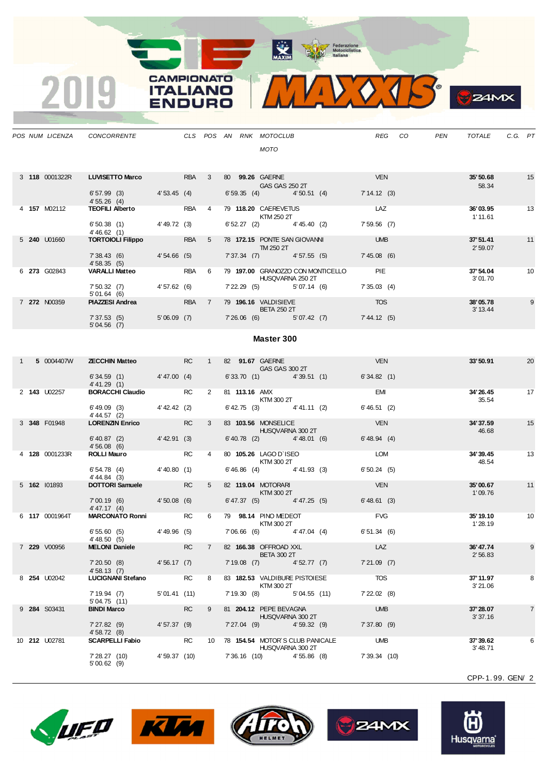

|  |                | POS NUM LICENZA CONCORRENTE                           |                      |           |                |  | CLS POS AN RNK MOTOCLUB<br>MOTO                |                                        | REG                   | CO. | <b>PEN</b> | TOTALE               | C.G. PT |    |
|--|----------------|-------------------------------------------------------|----------------------|-----------|----------------|--|------------------------------------------------|----------------------------------------|-----------------------|-----|------------|----------------------|---------|----|
|  | 3 118 0001322R | <b>LUVISETTO Marco</b><br>$6'57.99$ (3) $4'53.45$ (4) | RBA                  |           | $\overline{3}$ |  | 80 99.26 GAERNE<br>GAS GAS 250 2T              | 6' 59.35 (4) 4' 50.51 (4) 7' 14.12 (3) | <b>VEN</b>            |     |            | 35'50.68<br>58.34    |         | 15 |
|  |                | 4'55.26(4)                                            |                      |           |                |  |                                                |                                        |                       |     |            |                      |         |    |
|  | 4 157 M02112   | TEOFILI Alberto RBA                                   |                      |           | $\overline{4}$ |  | 79 118.20 CAEREVETUS<br>KTM 250 2T             |                                        | <b>LAZ</b>            |     |            | 36'03.95<br>1' 11.61 |         | 13 |
|  |                | $6'50.38$ (1) $4'49.72$ (3)<br>4' 46.62(1)            |                      |           |                |  |                                                | 6' 52.27 (2) 4' 45.40 (2)              | 7'59.56 (7)           |     |            |                      |         |    |
|  | 5 240 U01660   | <b>TORTOIOLI Filippo RBA</b>                          |                      |           | 5 <sup>5</sup> |  | 78 172.15 PONTE SAN GIOVANNI<br>TM 250 2T      |                                        | <b>Example 19 UMB</b> |     |            | 37'51.41<br>2'59.07  |         | 11 |
|  |                | 7' 38.43 (6) 4' 54.66 (5)<br>4'58.35(5)               |                      |           |                |  |                                                | 7' 37.34 (7) 4' 57.55 (5) 7' 45.08 (6) |                       |     |            |                      |         |    |
|  | 6 273 G02843   | VARALLI Matteo RBA                                    |                      |           | 6              |  | HUSQVARNA 250 2T                               | 79 197.00 GRANOZZO CON MONTICELLO PIE  |                       |     |            | 37'54.04<br>3'01.70  |         | 10 |
|  |                | 7' 50.32 (7) 4' 57.62 (6)<br>5'01.64(6)               |                      |           |                |  |                                                | 7' 22.29 (5) 5' 07.14 (6) 7' 35.03 (4) |                       |     |            |                      |         |    |
|  | 7 272 N00359   | <b>PIAZZESI Andrea</b> RBA                            |                      |           |                |  | 7 79 196.16 VALDISIEVE<br><b>BETA 250 2T</b>   |                                        | <b>TOS</b>            |     |            | 38'05.78<br>3' 13.44 |         | 9  |
|  |                | 7'37.53 (5) 5'06.09 (7)<br>5'04.56(7)                 |                      |           |                |  |                                                | 7'26.06 (6) 5'07.42 (7) 7'44.12 (5)    |                       |     |            |                      |         |    |
|  |                |                                                       |                      |           |                |  | <b>Master 300</b>                              |                                        |                       |     |            |                      |         |    |
|  | 1 5 0004407W   | <b>ZECCHIN Matteo</b> RC                              |                      |           |                |  | 1 82 91.67 GAERNE<br>GAS GAS 300 2T            |                                        | <b>VEN</b>            |     |            | 33'50.91             |         | 20 |
|  |                | $6'34.59$ (1) $4'47.00$ (4)<br>4' 41.29 (1)           |                      |           |                |  |                                                | $6'33.70$ (1) $4'39.51$ (1)            | 6'34.82(1)            |     |            |                      |         |    |
|  | 2 143 U02257   | <b>BORACCHI Claudio FC</b> RC                         |                      |           | $2^{\circ}$    |  | 81 <b>113.16 AMX</b><br><b>KTM 300 2T</b>      |                                        | <b>EMI</b>            |     |            | 34'26.45<br>35.54    |         | 17 |
|  |                | 6' 49.09 (3) 4' 42.42 (2)<br>4' 44.57 (2)             |                      |           |                |  |                                                | $6' 42.75$ (3) $4' 41.11$ (2)          | 6'46.51(2)            |     |            |                      |         |    |
|  | 3 348 F01948   | <b>LORENZIN Enrico</b>                                | <b>Example 20 RC</b> |           | $\mathbf{3}$   |  | 83 103.56 MONSELICE<br><b>HUSQVARNA 300 2T</b> |                                        | <b>VEN</b>            |     |            | 34' 37.59<br>46.68   |         | 15 |
|  |                | $6' 40.87$ (2) $4' 42.91$ (3)<br>4'56.08(6)           |                      |           |                |  |                                                | $6'40.78$ (2) $4'48.01$ (6)            | 6' 48.94 (4)          |     |            |                      |         |    |
|  | 4 128 0001233R | <b>ROLLI Mauro</b>                                    |                      | <b>RC</b> | $\overline{4}$ |  | 80 105.26 LAGO D'ISEO<br>KTM 300 2T            |                                        | LOM                   |     |            | 34'39.45<br>48.54    |         | 13 |
|  |                | 6'54.78(4)<br>4' 44.84 (3)                            | 4' 40.80(1)          |           |                |  |                                                | $6'46.86$ (4) $4'41.93$ (3)            | 6'50.24(5)            |     |            |                      |         |    |

**CAMPIONATO** 

**ITALIANO** 

**ENDURO** 

2019

|  |                | 4' 44.57 (2)                                           |                |           |                 |                                                     |                            |               |                     |                |
|--|----------------|--------------------------------------------------------|----------------|-----------|-----------------|-----------------------------------------------------|----------------------------|---------------|---------------------|----------------|
|  | 3 348 F01948   | <b>LORENZIN Enrico</b>                                 |                | <b>RC</b> | 3               | 83 103.56 MONSELICE                                 | HUSQVARNA 300 2T           | <b>VEN</b>    | 34'37.59<br>46.68   | 15             |
|  |                | $6' 40.87$ (2)<br>4'56.08(6)                           | 4' 42.91 (3)   |           |                 | $6'40.78$ (2) $4'48.01$ (6)                         |                            | 6' 48.94 (4)  |                     |                |
|  | 4 128 0001233R | <b>ROLLI Mauro</b>                                     |                | <b>RC</b> | 4               | 80 105.26 LAGO D'ISEO<br>KTM 300 2T                 |                            | <b>LOM</b>    | 34'39.45<br>48.54   | 13             |
|  |                | 6'54.78(4)<br>4' 44.84 (3)                             | 4'40.80(1)     |           |                 | $6'46.86$ (4) $4'41.93$ (3)                         |                            | 6'50.24(5)    |                     |                |
|  | 5 162 101893   | <b>DOTTORI Samuele</b>                                 |                | <b>RC</b> | 5               | 82 119.04 MOTORARI<br>KTM 300 2T                    |                            | <b>VEN</b>    | 35'00.67<br>1'09.76 | 11             |
|  |                | 7'00.19(6)<br><b>Contract Contract</b><br>4' 47.17 (4) | $4'50.08$ (6)  |           |                 | $6' 47.37$ (5) $4' 47.25$ (5)                       |                            | 6'48.61(3)    |                     |                |
|  | 6 117 0001964T | <b>MARCONATO Ronni</b>                                 |                | <b>RC</b> | 6               | 79 98.14 PINO MEDEOT<br>KTM 300 2T                  |                            | <b>FVG</b>    | 35'19.10<br>1'28.19 | 10             |
|  |                | 6'55.60(5)<br>4' 48.50(5)                              | $4' 49.96$ (5) |           |                 | 7'06.66 (6) 4'47.04 (4)                             |                            | 6'51.34(6)    |                     |                |
|  | 7 229 V00956   | <b>MELONI Daniele</b>                                  |                | <b>RC</b> | $\overline{7}$  | 82 166.38 OFFROAD XXL<br><b>BETA 300 2T</b>         |                            | LAZ           | 36'47.74<br>2'56.83 | 9              |
|  |                | 7'20.50(8)<br>4'58.13(7)                               | 4'56.17(7)     |           |                 | $7'19.08$ (7)                                       | 4'52.77(7)                 | 7'21.09(7)    |                     |                |
|  | 8 254 U02042   | <b>LUCIGNANI Stefano</b>                               |                | <b>RC</b> | 8               | 83 182.53 VALDIBURE PISTOIESE<br>KTM 300 2T         |                            | <b>TOS</b>    | 37'11.97<br>3'21.06 | 8              |
|  |                | 7'19.94(7)<br>5'04.75(11)                              | 5'01.41(11)    |           |                 |                                                     | 7' 19.30 (8) 5' 04.55 (11) | 7'22.02(8)    |                     |                |
|  | 9 284 S03431   | <b>BINDI Marco</b>                                     |                | <b>RC</b> | 9               | 81 204.12 PEPE BEVAGNA<br>HUSQVARNA 300 2T          |                            | <b>UMB</b>    | 37'28.07<br>3'37.16 | $\overline{7}$ |
|  |                | 7'27.82(9)<br>4'58.72(8)                               | 4'57.37(9)     |           |                 | $7'27.04$ (9) $4'59.32$ (9)                         |                            | 7'37.80(9)    |                     |                |
|  | 10 212 U02781  | <b>SCARPELLI Fabio</b>                                 |                | <b>RC</b> | 10 <sup>1</sup> | 78 154.54 MOTOR'S CLUB PANICALE<br>HUSQVARNA 300 2T |                            | <b>UMB</b>    | 37'39.62<br>3'48.71 | 6              |
|  |                | 7' 28.27 (10)<br>5'00.62(9)                            | 4'59.37 (10)   |           |                 |                                                     | 7'36.16 (10) 4'55.86 (8)   | 7' 39.34 (10) |                     |                |
|  |                |                                                        |                |           |                 |                                                     |                            |               |                     |                |









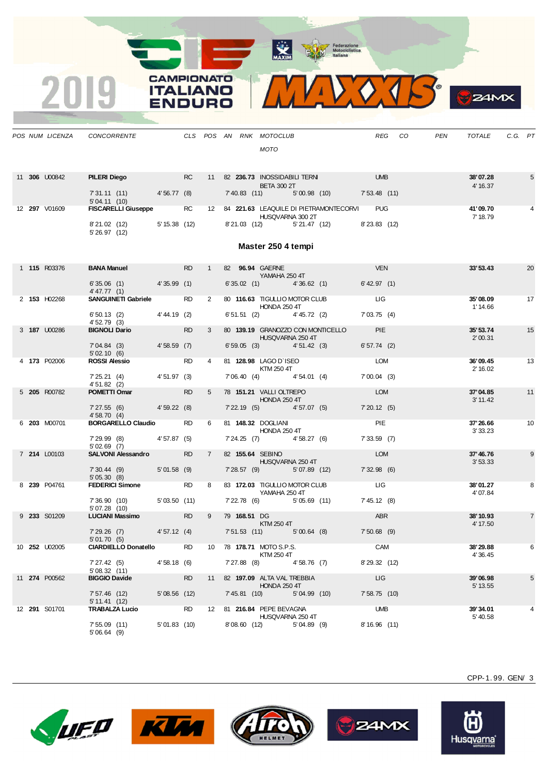**CAMPIONATO** 

**ITALIANO** 

**ENDURO** 

2019



|  | POS NUM LICENZA      | CONCORRENTE                                                                                                                                 |             |           |                |               | CLS POS AN RNK MOTOCLUB<br><b>MOTO</b>                                                              |                     | REG CO | PEN | TOTALE               | C.G. PT                     |                |
|--|----------------------|---------------------------------------------------------------------------------------------------------------------------------------------|-------------|-----------|----------------|---------------|-----------------------------------------------------------------------------------------------------|---------------------|--------|-----|----------------------|-----------------------------|----------------|
|  | 11 <b>306</b> U00842 | <b>PILERI Diego</b> RC<br>7' 31.11 (11) 4' 56.77 (8)                                                                                        |             |           |                |               | 11 82 236.73 INOSSIDABILI TERNI UMB<br><b>BETA 300 2T</b><br>7'40.83 (11) 5'00.98 (10) 7'53.48 (11) |                     |        |     | 38'07.28<br>4' 16.37 |                             | $\sqrt{5}$     |
|  | 12 297 V01609        | 5'04.11(10)<br>5 04. IT (10)<br>FISCARELLI Giuseppe                 RC         12     84   221.63  LEAQUILE DI PIETRAMONTECORVI         PUG |             |           |                |               |                                                                                                     |                     |        |     | 41'09.70             |                             |                |
|  |                      | 8'21.02 (12) 5'15.38 (12)<br>5' 26.97 (12)                                                                                                  |             |           |                |               | HUSQVARNA 300 2T<br>8'21.03 (12) 5'21.47 (12) 8'23.83 (12)                                          |                     |        |     | 7' 18.79             |                             |                |
|  |                      |                                                                                                                                             |             |           |                |               | Master 250 4 tempi                                                                                  |                     |        |     |                      |                             |                |
|  | 1 115 R03376         | <b>BANA Manuel</b> RD RD<br>$6'35.06$ (1) $4'35.99$ (1)                                                                                     |             |           | $1 \quad$      |               | 82 96.94 GAERNE<br>YAMAHA 250 4T<br>$6'35.02$ (1) $4'36.62$ (1) $6'42.97$ (1)                       | <b>VEN</b>          |        |     | 33'53.43             |                             | 20             |
|  | 2 153 H02268         | 4' 47.77 (1)<br>SANGUINETI Gabriele RD                                                                                                      |             |           | $2^{\circ}$    |               | 80 116.63 TIGULLIO MOTOR CLUB LIG LIG                                                               |                     |        |     | 35'08.09             |                             | 17             |
|  |                      | 6' 50.13 (2) 4' 44.19 (2)                                                                                                                   |             |           |                |               | <b>HONDA 250 4T</b><br>6' 51.51 (2) 4' 45.72 (2) 7' 03.75 (4)                                       |                     |        |     | 1' 14.66             |                             |                |
|  | 3 187 U00286         | 4' 52.79 (3)<br>BIGNOLI Dario RD                                                                                                            |             |           | $3^{\circ}$    |               | 80 139.19 GRANOZZO CON MONTICELLO<br><b>HUSQVARNA 250 4T</b>                                        | PIE <b>PIE</b>      |        |     | 35' 53.74<br>2'00.31 |                             | 15             |
|  |                      | 7'04.84 (3) 4'58.59 (7)<br>5'02.10(6)                                                                                                       |             |           |                |               | $6'59.05$ (3) $4'51.42$ (3)                                                                         | 6'57.74(2)          |        |     |                      |                             |                |
|  | 4 173 P02006         | ROSSI Alessio RD<br>7' 25.21 (4) 4' 51.97 (3)                                                                                               |             |           | $\overline{4}$ |               | 81 128.98 LAGO D'ISEO LOM<br><b>KTM 250 4T</b><br>7'06.40 (4) 4'54.01 (4)                           | $7'00.04$ (3)       |        |     | 36'09.45<br>2' 16.02 | $\overline{\phantom{1}}$ 13 |                |
|  | 5 205 R00782         | 4'51.82(2)<br><b>POMETTI Omar</b> RD                                                                                                        |             |           | 5 <sub>5</sub> |               | 78 151.21 VALLI OLTREPO                                                                             | <b>LOM</b>          |        |     | 37'04.85             |                             | 11             |
|  |                      | 7'27.55 (6) 4'59.22 (8)                                                                                                                     |             |           |                |               | <b>HONDA 250 4T</b><br>7' 22.19 (5) 4' 57.07 (5) 7' 20.12 (5)                                       |                     |        |     | 3' 11.42             |                             |                |
|  | 6 203 M00701         | 4'58.70(4)<br>BORGARELLO Claudio RD                                                                                                         |             |           | 6              |               | 81 148.32 DOGLIANI<br><b>HONDA 250 4T</b>                                                           | PIE                 |        |     | 37'26.66<br>3'33.23  |                             | 10             |
|  |                      | 7' 29.99 (8) 4' 57.87 (5)<br>5'02.69(7)                                                                                                     |             |           |                |               | 7' 24.25 (7) 4' 58.27 (6)                                                                           | 7'33.59(7)          |        |     |                      |                             |                |
|  | 7 214 L00103         | SALVONI Alessandro RD                                                                                                                       |             |           | $7^{\circ}$    |               | 82 155.64 SEBINO<br>HUSQVARNA 250 4T                                                                | LOM                 |        |     | 37'46.76<br>3'53.33  |                             | 9              |
|  |                      | $7'30.44$ (9) $5'01.58$ (9)<br>5'05.30(8)                                                                                                   |             |           |                |               | 7' 28.57 (9) 5' 07.89 (12)                                                                          | 7'32.98(6)          |        |     |                      |                             |                |
|  | 8 239 P04761         | FEDERICI Simone RD<br>7'36.90 (10) 5'03.50 (11)                                                                                             |             |           | 8              |               | 83 172.03 TIGULLIO MOTOR CLUB<br>YAMAHA 250 4T<br>7' 22.78 (6) 5' 05.69 (11) 7' 45.12 (8)           | <b>LIG</b>          |        |     | 38'01.27<br>4'07.84  |                             | 8              |
|  | 9 233 S01209         | 5'07.28 (10)<br><b>LUCIANI Massimo</b> RD                                                                                                   |             |           |                |               | 9 79 168.51 DG                                                                                      | ABR                 |        |     | 38'10.93             |                             | $\overline{7}$ |
|  |                      | 7'29.26 (7) 4'57.12 (4)                                                                                                                     |             |           |                |               | KTM 250 4T<br>7' 51.53 (11) 5' 00.64 (8) 7' 50.68 (9)                                               |                     |        |     | 4' 17.50             |                             |                |
|  | 10 252 U02005        | 5'01.70(5)<br>CIARDIELLO Donatello RD 10 78 178.71 MOTO S.P.S.                                                                              |             |           |                |               |                                                                                                     | CAM                 |        |     | 38'29.88             |                             | 6              |
|  |                      | 7' 27.42 (5)<br>5'08.32(11)                                                                                                                 | 4'58.18(6)  |           |                | 7' 27.88 (8)  | KTM 250 4T<br>4'58.76 (7)                                                                           | 8' 29.32 (12)       |        |     | 4' 36.45             |                             |                |
|  | 11 274 P00562        | <b>BIGGIO Davide</b><br>7' 57.46 (12)                                                                                                       | 5'08.56(12) | <b>RD</b> | 11             | 7' 45.81 (10) | 82 197.09 ALTA VAL TREBBIA<br><b>HONDA 250 4T</b><br>5'04.99(10)                                    | LIG.<br>7'58.75(10) |        |     | 39'06.98<br>5' 13.55 |                             | 5              |
|  | 12 291 S01701        | 5' 11.41 (12)<br><b>TRABALZA Lucio</b>                                                                                                      |             | <b>RD</b> | 12             |               | 81 216.84 PEPE BEVAGNA                                                                              | <b>UMB</b>          |        |     | 39'34.01             |                             | 4              |
|  |                      | 7'55.09(11)<br>5'06.64(9)                                                                                                                   | 5'01.83(10) |           |                | 8'08.60(12)   | HUSQVARNA 250 4T<br>5'04.89(9)                                                                      | 8'16.96(11)         |        |     | 5' 40.58             |                             |                |









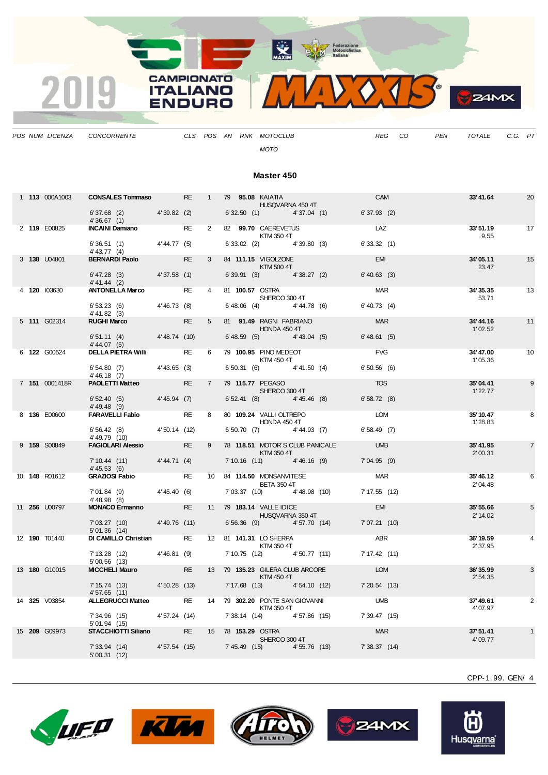

*POS NUM LICENZA CONCORRENTE CLS POS AN RNK MOTOCLUB REG CO PEN TOTALE C.G. PT*

*MOTO*

#### **Master 450**

|  | 1 113 000A1003       | <b>CONSALES Tommaso RE</b>                               |              |           | $1 \quad$       | 79 95.08 KAIATIA<br><b>HUSQVARNA 450 4T</b>                     |                                           | <b>CAM</b>                 | 33'41.64              | 20             |
|--|----------------------|----------------------------------------------------------|--------------|-----------|-----------------|-----------------------------------------------------------------|-------------------------------------------|----------------------------|-----------------------|----------------|
|  |                      | 6'37.68 (2) 4'39.82 (2)<br>4'36.67(1)                    |              |           |                 |                                                                 | $6'32.50$ (1) $4'37.04$ (1)               | $6'37.93$ (2)              |                       |                |
|  | 2 119 E00825         | <b>INCAINI Damiano</b>                                   |              | RE        | $\mathbf{2}$    | 82 99.70 CAEREVETUS<br>KTM 350 4T                               |                                           | LAZ                        | 33'51.19<br>9.55      | 17             |
|  |                      | $6'36.51$ (1) $4'44.77$ (5)<br>$4' 43.77$ (4)            |              |           |                 | $6'33.02$ (2) $4'39.80$ (3)                                     |                                           | 6'33.32(1)                 |                       |                |
|  | 3 138 U04801         | <b>BERNARDI Paolo</b>                                    |              | <b>RE</b> | $\mathbf{3}$    | 84 111.15 VIGOLZONE<br><b>KTM 500 4T</b>                        |                                           | <b>EMI</b>                 | 34'05.11<br>23.47     | 15             |
|  |                      | $6' 47.28$ (3) $4' 37.58$ (1)<br>$4' 41.44$ (2)          |              |           |                 | 6' 39.91 (3) 4' 38.27 (2)                                       |                                           | $6' 40.63$ (3)             |                       |                |
|  | 4 120 103630         | <b>ANTONELLA Marco</b>                                   |              | <b>RE</b> | $\overline{4}$  | 81 100.57 OSTRA<br>SHERCO 300 4T                                |                                           | <b>MAR</b>                 | 34'35.35<br>53.71     | 13             |
|  |                      | $6'53.23$ (6) $4'46.73$ (8)<br>$4' 41.82$ (3)            |              |           |                 | $6'48.06$ (4) $4'44.78$ (6)                                     |                                           | $6' 40.73$ (4)             |                       |                |
|  | 5 111 G02314         | <b>RUGHI Marco</b>                                       |              | <b>RE</b> | 5 <sub>5</sub>  | 81 91.49 RAGNI FABRIANO<br><b>HONDA 450 4T</b>                  |                                           | <b>MAR</b>                 | 34'44.16<br>1'02.52   | 11             |
|  |                      | $6'51.11$ (4) $4'48.74$ (10)<br>4' 44.07 (5)             |              |           |                 | $6'48.59$ (5) $4'43.04$ (5)                                     |                                           | 6'48.61(5)                 |                       |                |
|  | 6 122 G00524         | <b>DELLA PIETRA Willi</b>                                |              | RE        | 6               | 79 100.95 PINO MEDEOT<br><b>KTM 450 4T</b>                      |                                           | <b>FVG</b>                 | 34'47.00<br>1'05.36   | 10             |
|  |                      | $6'54.80$ (7) $4'43.65$ (3)<br>4' 46.18 (7)              |              |           |                 | $6'50.31$ (6) $4'41.50$ (4)                                     |                                           | 6'50.56(6)                 |                       |                |
|  | 7 151 0001418R       | <b>PAOLETTI Matteo</b>                                   |              | <b>RE</b> | $7\overline{ }$ | 79 115.77 PEGASO<br>SHERCO 300 4T                               |                                           | <b>TOS</b>                 | 35'04.41<br>1'22.77   | 9              |
|  |                      | $6'52.40(5)$ 4'45.94 (7)<br>$4' 49.48$ (9)               |              |           |                 | $6'52.41$ (8) $4'45.46$ (8)                                     |                                           | 6'58.72(8)                 |                       |                |
|  | 8 136 E00600         | <b>FARAVELLI Fabio</b>                                   |              | <b>RE</b> | 8               | 80 109.24 VALLI OLTREPO<br><b>HONDA 450 4T</b>                  |                                           | <b>LOM</b>                 | 35' 10.47<br>1'28.83  | 8              |
|  |                      | $6'56.42$ (8) $4'50.14$ (12)<br>4'49.79 (10)             |              |           |                 |                                                                 | $6'50.70$ (7) $4'44.93$ (7)               | 6'58.49(7)                 |                       |                |
|  | 9 159 S00849         | <b>FAGIOLARI Alessio RE</b>                              |              |           |                 | <b>Example 25 STM 350 4T</b>                                    | 9 78 118.51 MOTOR'S CLUB PANICALE UMB     |                            | 35'41.95<br>2'00.31   | $\overline{7}$ |
|  |                      | $7'10.44' (11)$ $4'44.71' (4)$<br>4' 45.53(6)            |              |           |                 |                                                                 | 7'10.16 (11) 4'46.16 (9)                  | 7'04.95(9)                 |                       |                |
|  | 10 148 R01612        | <b>GRAZIOSI Fabio</b>                                    |              | <b>RE</b> |                 | 10 84 114.50 MONSANVITESE<br><b>BETA 350 4T</b>                 |                                           | <b>MAR</b>                 | 35'46.12<br>2'04.48   | 6              |
|  |                      | 7'01.84 (9) 4'45.40 (6)<br>$4' 48.98$ (8)                |              |           |                 | 7'03.37 (10) 4'48.98 (10)                                       |                                           | 7' 17.55 (12)              |                       |                |
|  | 11 256 U00797        | <b>MONACO Ermanno</b> RE                                 |              |           |                 | 11 79 183.14 VALLE IDICE<br><b>HUSQVARNA 350 4T</b>             |                                           | <b>EMI</b>                 | 35' 55.66<br>2' 14.02 | 5              |
|  |                      | 7'03.27(10)<br>5'01.36(14)                               | 4'49.76(11)  |           |                 | 6'56.36 (9) 4'57.70 (14)                                        |                                           | 7'07.21(10)                |                       |                |
|  | 12 <b>190</b> T01440 | DI CAMILLO Christian RE 12 81 141.31 LO SHERPA           |              |           |                 | KTM 350 4T                                                      |                                           | <b>ABR</b>                 | 36'19.59<br>2' 37.95  |                |
|  |                      | $7'13.28$ (12) $4'46.81$ (9)<br>5'00.56(13)              |              |           |                 | 7' 10.75 (12) 4' 50.77 (11)                                     |                                           | 7'17.42(11)                |                       |                |
|  | 13 180 G10015        | <b>MICCHELI Mauro MICCHELI Mauro</b>                     |              | RE a      |                 | 13 79 135.23 GILERA CLUB ARCORE<br><b>Example 18 STM 450 4T</b> |                                           | <b>EXAMPLE DESCRIPTION</b> | 36'35.99<br>2'54.35   | 3              |
|  |                      | 7' 15.74 (13) 4' 50.28 (13)<br>4'57.65(11)               |              |           |                 | 7' 17.68 (13) 4' 54.10 (12)                                     |                                           | $7'20.54$ (13)             |                       |                |
|  | 14 325 V03854        | ALLEGRUCCI Matteo RE 14 79 302.20 PONTE SAN GIOVANNI UMB |              |           |                 | <b>KTM 350 4T</b>                                               |                                           |                            | 37'49.61<br>4' 07.97  | 2              |
|  |                      | 7' 34.96 (15) 4' 57.24 (14)<br>5'01.94(15)               |              |           |                 |                                                                 | 7' 38.14 (14) 4' 57.86 (15) 7' 39.47 (15) |                            |                       |                |
|  | 15 209 G09973        | <b>STACCHIOTTI Siliano</b>                               |              |           |                 | RE 15 78 153.29 OSTRA<br>SHERCO 300 4T                          |                                           | <b>MAR</b>                 | 37'51.41<br>4'09.77   |                |
|  |                      | 7'33.94(14)<br>5'00.31(12)                               | 4'57.54 (15) |           |                 |                                                                 | 7' 45.49 (15) 4' 55.76 (13) 7' 38.37 (14) |                            |                       |                |









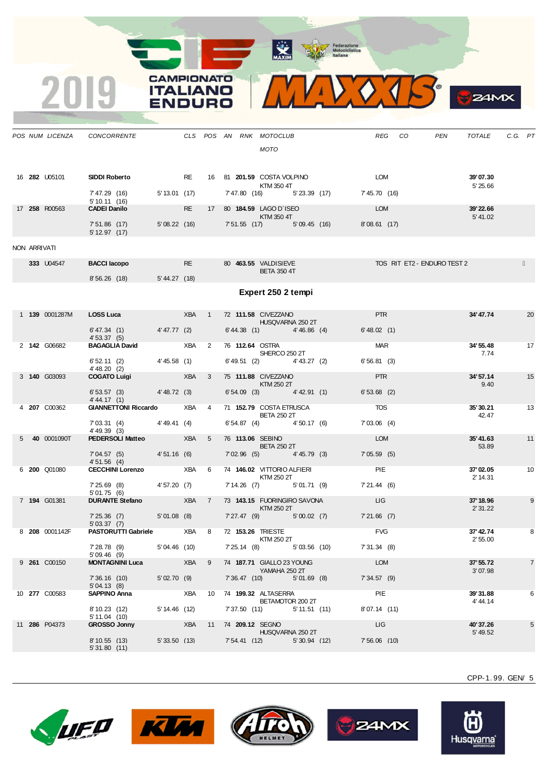**ALL AND REAL** 

CAMPIONATO **ITALIANO** 

INIDO



CPP-1. 99. GEN/ 5

 $24MX$ 









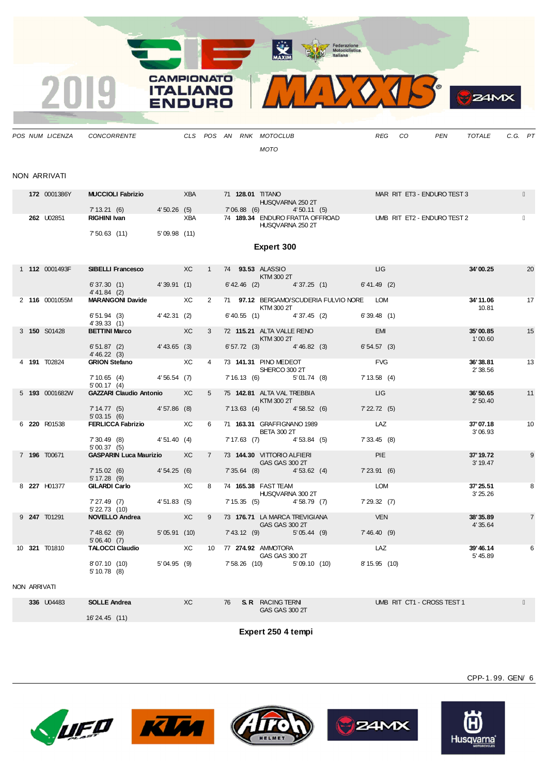

|              |                                   |                          | <b>MOTO</b>                                                                     |                             |  |
|--------------|-----------------------------------|--------------------------|---------------------------------------------------------------------------------|-----------------------------|--|
| NON ARRIVATI |                                   |                          |                                                                                 |                             |  |
| 172 0001386Y | <b>MUCCIOLI Fabrizio</b>          | <b>XBA</b>               | 71 128.01 TITANO                                                                | MAR RIT ET3 - ENDURO TEST 3 |  |
| 262 U02851   | 7'13.21(6)<br><b>RIGHINI Ivan</b> | 4'50.26(5)<br><b>XBA</b> | HUSQVARNA 250 2T<br>7'06.88(6)<br>4'50.11(5)<br>74 189.34 ENDURO FRATTA OFFROAD | UMB RIT ET2 - ENDURO TEST 2 |  |

HUSQVARNA 250 2T

7' 50.63 (11) 5' 09.98 (11) **Expert 300** 1 **112** 0001493F **SIBELLI Francesco** XC 1 74 **93.53** ALASSIO LIG **34'00.25** 20  $KTM$  300 2T<br>6' 42.46 (2) 6' 37.30 (1) 4' 39.91 (1) 6' 42.46 (2) 4' 37.25 (1) 6' 41.49 (2) 4' 41.84 (2)<br>**MARANGONI Davide** 2 **116** 0001055M **MARANGONI Davide** XC 2 71 **97.12** BERGAMO/SCUDERIA FULVIO NORE LOM **34'11.06** 17  $KTM$  300 2T  $4'37.45$  (2) 6'39.48 (1) 10.81 6' 51.94 (3) 4' 42.31 (2) 6' 40.55 (1) 4' 39.33 (1)<br>**BETTINI Marco** 3 **150** S01428 **BETTINI Marco** XC 3 72 **115.21** ALTA VALLE RENO EMI **35'00.85** 15 KTM 300 2T<br>3) 4' 46.82 (3) 6' 54.57 (3)  $6' 51.87 (2)$  4' 43.65 (3) 6' 57.72 (3) 4' 46.22 (3) 4 **191** T02824 **GRION Stefano** XC 4 73 **141.31** PINO MEDEOT FVG **36'38.81** 13 SHERCO 300 2T<br>
7' 16.13 (6) 5' 01.74 (8) 7' 13.58 (4) 7' 10.65 (4) 4' 56.54 (7) 7' 16.13 (6) 5' 01.74 (8)  $5'$  00.17  $(4)$ <br>GAZZARI Claudio Antonio 5 **193** 0001682W **GAZZARI Claudio Antonio** XC 5 75 **142.81** ALTA VAL TREBBIA LIG **36'50.65** 11 KTM 300 2T<br>1 4' 58.52 (6) 7' 22.72 (5) 4' 57.86 (8) 7' 13.63 (4) 7' 14.77 (5)<br>5' 03.15 (6)<br>**FERLICCA Fabrizio** 6 **220** R01538 **FERLICCA Fabrizio** XC 6 71 **163.31** GRAFFIGNANO 1989 LAZ **37'07.18** 10 BETA 300 2T<br>
(8) 4' 53.84 (5) 7' 33.45 (8) 7' 30.49 (8) 4' 51.40 (4) 7' 17.63 (7) 5' 00.37 (5)<br>GASPARIN Luca Maurizio 7 **196** T00671 **GASPARIN Luca Maurizio** XC 7 73 **144.30** VITTORIO ALFIERI PIE **37'19.72** 9 GAS GAS 300 2T<br>3) 4' 53.62 (4) 7' 23.91 (6) 7' 15.02 (6) 4' 54.25 (6) 7' 35.64 (8) 4' 53.62 (4) 7' 23.91 (6) 5' 17.28 (9) 8 **227** H01377 **GILARDI Carlo** XC 8 74 **165.38** FAST TEAM LOM **37'25.51** 8 HUSQVARNA 300 2T<br>
7' 15.35 (5) 4' 58.79 (7) 7' 29.32 (7) 7' 27.49 (7) 4' 51.83 (5) 7' 15.35 (5) 4' 58.79 (7) 7' 29.32 (7) 5' 22.73 (10)<br>**NOVELLO Andrea** 9 **247** T01291 **NOVELLO Andrea** XC 9 73 **176.71** LA MARCA TREVIGIANA VEN **38'35.89** 7 GAS GAS 300 2T<br>  $7'43'12'$  (9)  $5'05'44'$  (9)  $7'46'40'$  (9) 7' 48.62 (9) 5' 05.91 (10) 7' 43.12 (9) 5' 05.44 (9) 7' 46.40 (9)

|                    | $-10.02$ (3)<br>5'06.40(7) |            | 70.IZ 1 <i>31</i><br>$0.977$ $0.77$     | , TU.TU 1 <i>31</i>             |                           |
|--------------------|----------------------------|------------|-----------------------------------------|---------------------------------|---------------------------|
| T01810<br>10 321   | <b>TALOCCI Claudio</b>     | ХC<br>10   | 274.92 AMMOTORA<br>77<br>GAS GAS 300 2T | LAZ                             | 39'46.14<br>6<br>5' 45.89 |
|                    | 8'07.10 (10)<br>5'10.78(8) | 5'04.95(9) | $7'58.26$ (10)<br>5'09.10(10)           | 8'15.95 (10)                    |                           |
| NON ARRIVATI       |                            |            |                                         |                                 |                           |
| $226$ $\mu$ $3202$ | OMIE                       | $\sqrt{2}$ | <b>CD</b> DACING TEDNE<br>$7^\circ$     | <b>UMP DIT CT4 CDOCC TECT 4</b> |                           |

| <b>336</b> U04483 | <b>SOLLE Andrea</b><br>16'24.45 (11) | XC | 76 | <b>S. R</b> RACING TERN<br>GAS GAS 300 2T | UMB RIT CT1 - CROSS TEST 1 |
|-------------------|--------------------------------------|----|----|-------------------------------------------|----------------------------|
|                   |                                      |    |    | Expert 250 4 tempi                        |                            |











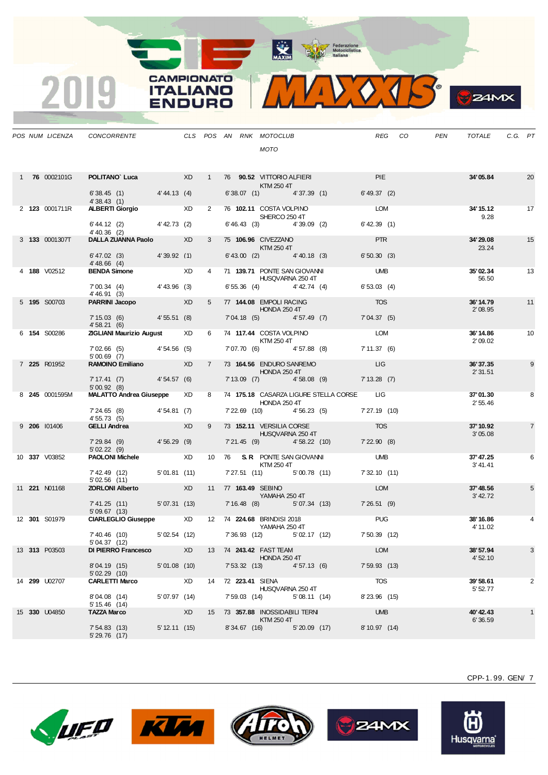

**B**ZAMX

|  | POS NUM LICENZA      | CONCORRENTE                                                                        |                          |    |                |  | CLS POS AN RNK MOTOCLUB<br><b>MOTO</b>                                                                                                                                                                                           |                                                           | REG CO                | PEN | TOTALE               | C.G. PT |                |
|--|----------------------|------------------------------------------------------------------------------------|--------------------------|----|----------------|--|----------------------------------------------------------------------------------------------------------------------------------------------------------------------------------------------------------------------------------|-----------------------------------------------------------|-----------------------|-----|----------------------|---------|----------------|
|  | 1 76 0002101G        | <b>POLITANO Luca</b> XD 1 76 90.52 VITTORIO ALFIERI<br>$6'38.45$ (1) $4'44.13$ (4) |                          |    |                |  | KTM 250 4T                                                                                                                                                                                                                       | 6' 38.07 (1) 4' 37.39 (1) 6' 49.37 (2)                    | <b>PIE</b>            |     | 34'05.84             |         | 20             |
|  | 2 123 0001711R       | 4'38.43(1)<br><b>ALBERTI Giorgio XD</b> XD                                         | <b>Contract Contract</b> |    |                |  |                                                                                                                                                                                                                                  | 2 76 102.11 COSTA VOLPINO LOM                             |                       |     | 34' 15.12            |         | 17             |
|  |                      | 6' 44.12 (2) 4' 42.73 (2)<br>$4' 40.36$ (2)                                        |                          |    |                |  | SHERCO 250 4T                                                                                                                                                                                                                    | $6'46.43$ (3) $4'39.09$ (2)                               | $6'$ 42.39 (1)        |     | 9.28                 |         |                |
|  | 3 133 0001307T       | <b>DALLA ZUANNA Paolo</b> XD                                                       |                          |    | $3^{\circ}$    |  | $\blacksquare$ $\blacksquare$ $\blacksquare$ $\blacksquare$ $\blacksquare$ $\blacksquare$ $\blacksquare$ $\blacksquare$ $\blacksquare$ $\blacksquare$ $\blacksquare$ $\blacksquare$ $\blacksquare$ $\blacksquare$ $\blacksquare$ | 75 106.96 CIVEZZANO <b>Anti-American Structure (1994)</b> | <b>PTR</b>            |     | 34'29.08<br>23.24    |         | 15             |
|  |                      | 6'47.02 (3) 4'39.92 (1)<br>4'48.66 (4)                                             |                          |    |                |  |                                                                                                                                                                                                                                  | $6' 43.00$ (2) $4' 40.18$ (3)                             | 6'50.30(3)            |     |                      |         |                |
|  | 4 188 V02512         | <b>BENDA Simone</b> XD                                                             |                          |    | $\overline{4}$ |  | 71 139.71 PONTE SAN GIOVANNI<br>HUSQVARNA 250 4T                                                                                                                                                                                 |                                                           | <b>UMB</b>            |     | 35'02.34<br>56.50    |         | 13             |
|  |                      | 7' 00.34 (4) 4' 43.96 (3)<br>4' 46.91 (3)                                          |                          |    |                |  |                                                                                                                                                                                                                                  | $6'55.36$ (4) $4'42.74$ (4)                               | 6'53.03(4)            |     |                      |         |                |
|  | 5 195 S00703         | <b>PARRINI Jacopo</b> XD                                                           |                          |    |                |  | 5 77 144.08 EMPOLI RACING<br><b>HONDA 250 4T</b>                                                                                                                                                                                 |                                                           | <b>Example 2018</b>   |     | 36'14.79<br>2'08.95  |         | 11             |
|  |                      | 7' 15.03 (6) 4' 55.51 (8)<br>4'58.21(6)                                            |                          |    |                |  |                                                                                                                                                                                                                                  | 7'04.18 (5) 4'57.49 (7) 7'04.37 (5)                       |                       |     |                      |         |                |
|  | 6 154 S00286         | <b>ZIGLIANI Maurizio August XD</b>                                                 |                          |    |                |  | KTM 250 4T                                                                                                                                                                                                                       | 6 74 117.44 COSTA VOLPINO LOM                             |                       |     | 36'14.86<br>2'09.02  |         | 10             |
|  |                      | $7'02.66(5)$ $4'54.56(5)$<br>5'00.69(7)                                            |                          |    |                |  |                                                                                                                                                                                                                                  | 7'07.70 (6)  4'57.88 (8)  7'11.37 (6)                     |                       |     |                      |         |                |
|  | 7 225 R01952         | RAMOINO Emiliano XD                                                                |                          |    |                |  | 7 73 164.56 ENDURO SANREMO<br>HONDA 250 4T                                                                                                                                                                                       |                                                           | <b>Example 19</b>     |     | 36'37.35<br>2'31.51  |         | 9              |
|  |                      | 7' 17.41 (7) 4' 54.57 (6)<br>5'00.92(8)                                            |                          |    |                |  |                                                                                                                                                                                                                                  | 7'13.09 (7) 4'58.08 (9) 7'13.28 (7)                       |                       |     |                      |         |                |
|  | 8 245 0001595M       | <b>MALATTO Andrea Giuseppe XD</b>                                                  |                          |    |                |  | HONDA 250 4T                                                                                                                                                                                                                     | 8 74 175.18 CASARZA LIGURE STELLA CORSE LIG               |                       |     | 37'01.30<br>2'55.46  |         | 8              |
|  |                      | 7' 24.65 (8) 4' 54.81 (7)<br>4' 55.73 (5)                                          |                          |    |                |  |                                                                                                                                                                                                                                  | 7' 22.69 (10) 4' 56.23 (5) 7' 27.19 (10)                  |                       |     |                      |         |                |
|  | 9 206 101406         | GELLI Andrea XD                                                                    |                          |    |                |  |                                                                                                                                                                                                                                  | 9 73 152.11 VERSILIA CORSE TOS<br>HUSQVARNA 250 4T        |                       |     | 37' 10.92<br>3'05.08 |         | $\overline{7}$ |
|  |                      | 7'29.84 (9) 4'56.29 (9)<br>5'02.22(9)                                              |                          |    |                |  |                                                                                                                                                                                                                                  | 7'21.45 (9) 4'58.22 (10) 7'22.90 (8)                      |                       |     |                      |         |                |
|  | 10 337 V03852        | <b>PAOLONI Michele</b> XD 10 76 S.R. PONTE SAN GIOVANNI UMB                        |                          |    |                |  | KTM 250 4T                                                                                                                                                                                                                       |                                                           |                       |     | 37' 47.25<br>3'41.41 |         | 6              |
|  |                      | 7'42.49 (12) 5'01.81 (11)<br>5'02.56(11)                                           |                          |    |                |  |                                                                                                                                                                                                                                  | 7' 27.51 (11) 5' 00.78 (11) 7' 32.10 (11)                 |                       |     |                      |         |                |
|  | 11 <b>221</b> N01168 | <b>ZORLONI Alberto</b> XD                                                          |                          |    |                |  | 11 77 163.49 SEBINO<br>YAMAHA 250 4T                                                                                                                                                                                             |                                                           | LOM                   |     | 37'48.56<br>3' 42.72 |         | 5              |
|  |                      | 7'41.25 (11) 5'07.31 (13) 7'16.48 (8) 5'07.34 (13) 7'26.51 (9)<br>5'09.67(13)      |                          |    |                |  |                                                                                                                                                                                                                                  |                                                           |                       |     |                      |         |                |
|  | 12 301 S01979        | CIARLEGLIO Giuseppe XD 12 74 224.68 BRINDISI 2018                                  |                          |    |                |  | YAMAHA 250 4T                                                                                                                                                                                                                    |                                                           | <b>Example 19 PUG</b> |     | 38'16.86<br>4' 11.02 |         |                |
|  |                      | 7'40.46 (10)<br>5' 04.37 (12)                                                      |                          |    |                |  |                                                                                                                                                                                                                                  | 5'02.54 (12) 7'36.93 (12) 5'02.17 (12) 7'50.39 (12)       |                       |     |                      |         |                |
|  | 13 313 P03503        | DI PIERRO Francesco                                                                |                          | XD |                |  | 13 74 243.42 FAST TEAM<br><b>HONDA 250 4T</b>                                                                                                                                                                                    |                                                           | <b>LOM</b>            |     | 38'57.94<br>4'52.10  |         | 3              |
|  |                      | 8'04.19 (15)<br>5'02.29(10)                                                        | 5'01.08(10)              |    |                |  | 7' 53.32 (13) 4' 57.13 (6)                                                                                                                                                                                                       |                                                           | $7'59.93$ (13)        |     |                      |         |                |
|  | 14 299 U02707        | <b>CARLETTI Marco</b>                                                              | <b>Express</b>           |    |                |  | 14 72 223.41 SIENA<br>HUSQVARNA 250 4T                                                                                                                                                                                           |                                                           | TOS                   |     | 39'58.61<br>5' 52.77 |         | 2              |
|  |                      | 8'04.08 (14)<br>5' 15.46 (14)                                                      | 5'07.97(14)              |    |                |  | 7' 59.03 (14) 5' 08.11 (14)                                                                                                                                                                                                      |                                                           | 8'23.96 (15)          |     |                      |         |                |
|  | 15 330 U04850        | <b>TAZZA Marco</b>                                                                 | <b>Example 20</b>        |    |                |  | 15 73 357.88 INOSSIDABILI TERNI<br>KTM 250 4T                                                                                                                                                                                    |                                                           | <b>UMB</b>            |     | 40'42.43<br>6'36.59  |         | $\mathbf{1}$   |
|  |                      | 7'54.83(13)<br>5' 29.76 (17)                                                       | 5' 12.11 (15)            |    |                |  | 8'34.67 (16) 5'20.09 (17)                                                                                                                                                                                                        |                                                           | 8' 10.97 (14)         |     |                      |         |                |

**CAMPIONATO** 

**ITALIANO** 

**ENDURO** 

2019









Õ Husqvarna®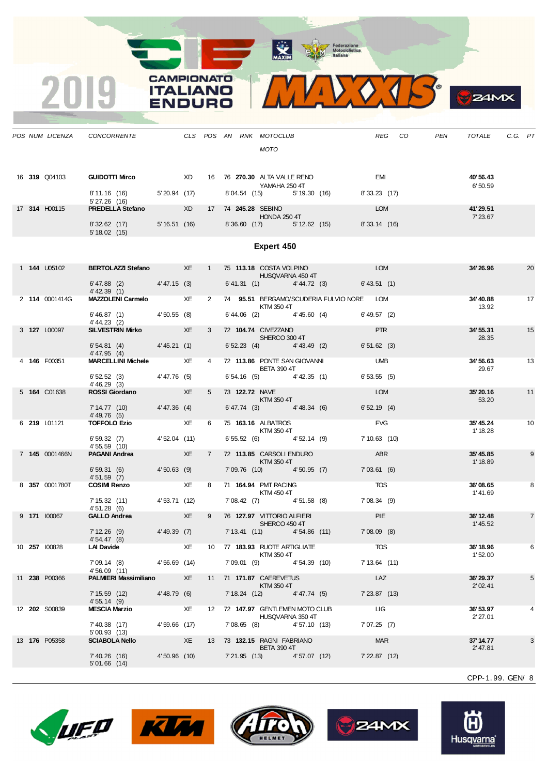Motociclistica

**CAMPIONATO** 

**ITALIANO** 

**ENDURO** 

2019



|  |                      | POS NUM LICENZA CONCORRENTE CLS POS AN RNK MOTOCLUB                             |                      |                |  | <b>MOTO</b>                                                                                                                                                                                                                                                  |                                           |                       | REG CO | PEN | TOTALE                | C.G. PT |                |
|--|----------------------|---------------------------------------------------------------------------------|----------------------|----------------|--|--------------------------------------------------------------------------------------------------------------------------------------------------------------------------------------------------------------------------------------------------------------|-------------------------------------------|-----------------------|--------|-----|-----------------------|---------|----------------|
|  |                      |                                                                                 |                      |                |  |                                                                                                                                                                                                                                                              |                                           |                       |        |     |                       |         |                |
|  | 16 319 Q04103        | <b>GUIDOTTI Mirco</b> XD 16 76 270.30 ALTA VALLE RENO                           |                      |                |  | YAMAHA 250 4T                                                                                                                                                                                                                                                |                                           | <b>EMI</b>            |        |     | 40'56.43<br>6'50.59   |         |                |
|  |                      | 8' 11.16 (16) 5' 20.94 (17)<br>5' 27.26 (16)                                    |                      |                |  |                                                                                                                                                                                                                                                              | 8'04.54 (15) 5'19.30 (16) 8'33.23 (17)    |                       |        |     |                       |         |                |
|  | 17 314 H00115        | PREDELLA Stefano XD 17 74 245.28 SEBINO                                         |                      |                |  | HONDA 250 4T                                                                                                                                                                                                                                                 |                                           | <b>LOM</b>            |        |     | 41'29.51<br>7' 23.67  |         |                |
|  |                      | 8'32.62 (17) 5'16.51 (16) 8'36.60 (17) 5'12.62 (15) 8'33.14 (16)<br>5'18.02(15) |                      |                |  |                                                                                                                                                                                                                                                              |                                           |                       |        |     |                       |         |                |
|  |                      |                                                                                 |                      |                |  | Expert 450                                                                                                                                                                                                                                                   |                                           |                       |        |     |                       |         |                |
|  | 1 <b>144 U05102</b>  | BERTOLAZZI Stefano XE 1 75 113.18 COSTA VOLPINO COM                             |                      |                |  |                                                                                                                                                                                                                                                              |                                           |                       |        |     | 34'26.96              |         | 20             |
|  |                      | $6'47.88$ (2) $4'47.15$ (3)                                                     |                      |                |  | <b>HUSQVARNA 450 4T</b>                                                                                                                                                                                                                                      | 6' 41.31 (1) 4' 44.72 (3) 6' 43.51 (1)    |                       |        |     |                       |         |                |
|  | 2 114 0001414G       | 4' 42.39 (1)<br>MAZZOLENI Carmelo XE                                            |                      | $\mathbf{2}$   |  |                                                                                                                                                                                                                                                              | 74 95.51 BERGAMO/SCUDERIA FULVIO NORE LOM |                       |        |     | 34'40.88<br>13.92     |         | 17             |
|  |                      | $6'46.87$ (1) $4'50.55$ (8)<br>4' 44.23 (2)                                     |                      |                |  | <b>KTM 350 4T</b>                                                                                                                                                                                                                                            | $6'44.06$ (2) $4'45.60$ (4) $6'49.57$ (2) |                       |        |     |                       |         |                |
|  | 3 127 L00097         | SILVESTRIN Mirko XE                                                             |                      | $3^{\circ}$    |  | 72 104.74 CIVEZZANO<br>SHERCO 300 4T                                                                                                                                                                                                                         |                                           | <b>PTR</b>            |        |     | 34' 55.31<br>28.35    |         | 15             |
|  |                      | $6'54.81$ (4) $4'45.21$ (1)<br>4' 47.95 (4)                                     |                      |                |  | $6'52.23$ (4) $4'43.49$ (2)                                                                                                                                                                                                                                  |                                           | 6'51.62(3)            |        |     |                       |         |                |
|  | 4 146 F00351         | MARCELLINI Michele XE                                                           |                      | $4 \quad$      |  | <b>BETA 390 4T</b>                                                                                                                                                                                                                                           | 72 113.86 PONTE SAN GIOVANNI UMB          |                       |        |     | 34'56.63<br>29.67     |         | 13             |
|  |                      | $6'52.52(3)$ $4'47.76(5)$<br>4' 46.29(3)                                        |                      |                |  | $6'54.16$ (5) $4'42.35$ (1)                                                                                                                                                                                                                                  |                                           | 6'53.55(5)            |        |     |                       |         |                |
|  | 5 164 C01638         | ROSSI Giordano XE                                                               |                      | 5 <sub>5</sub> |  | 73 122.72 NAVE<br><b>KTM 350 4T</b>                                                                                                                                                                                                                          |                                           | LOM                   |        |     | 35'20.16<br>53.20     |         | 11             |
|  |                      | 7' 14.77 (10) 4' 47.36 (4)<br>4'49.76 (5)                                       |                      |                |  | $6' 47.74$ (3) $4' 48.34$ (6)                                                                                                                                                                                                                                |                                           | 6'52.19(4)            |        |     |                       |         |                |
|  | 6 219 L01121         | TOFFOLO Ezio XE                                                                 |                      |                |  | 6 75 163.16 ALBATROS<br><b>KTM 350 4T</b>                                                                                                                                                                                                                    |                                           | FVG                   |        |     | 35'45.24<br>1' 18.28  |         | 10             |
|  |                      | $6'59.32$ (7) $4'52.04$ (11)<br>4' 55.59 (10)                                   |                      |                |  | $6'55.52$ (6) $4'52.14$ (9)                                                                                                                                                                                                                                  |                                           | 7' 10.63 (10)         |        |     |                       |         |                |
|  | 7 145 0001466N       | <b>PAGANI Andrea</b>                                                            | $X$ $\overline{E}$   | $7^{\circ}$    |  | 72 113.85 CARSOLI ENDURO<br>$\blacksquare$ $\blacksquare$ $\blacksquare$ $\blacksquare$ $\blacksquare$ $\blacksquare$ $\blacksquare$ $\blacksquare$ $\blacksquare$ $\blacksquare$ $\blacksquare$ $\blacksquare$ $\blacksquare$ $\blacksquare$ $\blacksquare$ |                                           | ABR                   |        |     | 35' 45.85<br>1' 18.89 |         | 9              |
|  |                      | 6' 59.31 (6) 4' 50.63 (9)<br>4'51.59 (7)                                        |                      |                |  |                                                                                                                                                                                                                                                              | 7'09.76 (10) 4'50.95 (7) 7'03.61 (6)      |                       |        |     |                       |         |                |
|  | 8 357 0001780T       | <b>COSIM Renzo</b>                                                              | <b>Example 2</b> XE  | 8              |  | 71 164.94 PMT RACING<br><b>KTM 450 4T</b>                                                                                                                                                                                                                    |                                           | <b>TOS</b>            |        |     | 36'08.65<br>1'41.69   |         | 8              |
|  |                      | 7' 15.32 (11) 4' 53.71 (12)<br>4'51.28 (6)                                      |                      |                |  |                                                                                                                                                                                                                                                              | 7'08.42 (7) 4'51.58 (8) 7'08.34 (9)       |                       |        |     |                       |         |                |
|  | 9 171 100067         | <b>GALLO Andrea</b><br>7' 12.26 (9) 4' 49.39 (7) 7' 13.41 (11)                  | $X$ $\overline{E}$   |                |  | SHERCO 450 4T                                                                                                                                                                                                                                                | 9 76 127.97 VITTORIO ALFIERI              | PIE                   |        |     | 36' 12.48<br>1' 45.52 |         | $\overline{7}$ |
|  |                      | 4'54.47(8)                                                                      |                      |                |  |                                                                                                                                                                                                                                                              | 4'54.86 (11) 7'08.09 (8)                  |                       |        |     |                       |         |                |
|  | 10 257 100828        | LAI Davide                                                                      | <b>Example 25 XE</b> |                |  | 10 77 183.93 RUOTE ARTIGLIATE<br>KTM 350 4T<br>7'09.01 (9) 4'54.39 (10)                                                                                                                                                                                      |                                           | TOS<br>$7'13.64$ (11) |        |     | 36'18.96<br>1'52.00   |         | 6              |
|  | 11 238 P00366        | $7'09.14$ (8) $4'56.69$ (14)<br>4'56.09 (11)<br><b>PALMIERI Massimiliano</b> XE |                      |                |  | 11 71 171.87 CAEREVETUS                                                                                                                                                                                                                                      |                                           | LAZ                   |        |     | 36'29.37              |         | 5              |
|  |                      | 7' 15.59 (12)                                                                   | 4'48.79 (6)          |                |  | KTM 350 4T<br>7' 18.24 (12) 4' 47.74 (5)                                                                                                                                                                                                                     |                                           | $7'23.87$ (13)        |        |     | 2'02.41               |         |                |
|  | 12 202 S00839        | 4' 55.14 (9)<br><b>MESCIA Marzio</b>                                            | <b>Example 2</b>     |                |  | 12 72 147.97 GENTLEMEN MOTO CLUB                                                                                                                                                                                                                             |                                           | <b>LIG</b>            |        |     | 36'53.97              |         | 4              |
|  |                      | 7' 40.38 (17)                                                                   | 4'59.66 (17)         |                |  | HUSQVARNA 350 4T<br>7'08.65 (8) 4'57.10 (13)                                                                                                                                                                                                                 |                                           | 7'07.25(7)            |        |     | 2'27.01               |         |                |
|  | 13 <b>176</b> P05358 | 5'00.93(13)<br><b>SCIABOLA Nello</b>                                            | <b>Example 2</b>     |                |  | 13 73 132.15 RAGNI FABRIANO                                                                                                                                                                                                                                  |                                           | <b>MAR</b>            |        |     | 37' 14.77             |         | 3              |
|  |                      | 7'40.26 (16)                                                                    | 4'50.96 (10)         |                |  | <b>BETA 390 4T</b><br>7'21.95 (13) 4'57.07 (12)                                                                                                                                                                                                              |                                           | 7'22.87(12)           |        |     | 2' 47.81              |         |                |
|  |                      | $5'01.66$ (14)                                                                  |                      |                |  |                                                                                                                                                                                                                                                              |                                           |                       |        |     |                       |         |                |









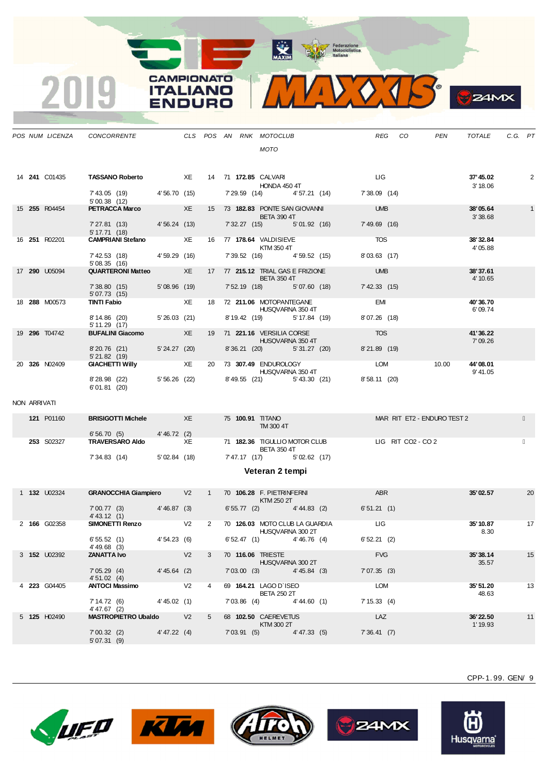Federazione<br>
Motociclistica<br>
Italiana

**MAXIM** 

**CAMPIONATO ITALIANO** 

RO



|              | POS NUM LICENZA      | CONCORRENTE                                                        |              |                |                |            | CLS POS AN RNK MOTOCLUB                                 |                |                                                  | REG                   | CO                          | <b>PEN</b> | TOTALE               | C.G. PT         |              |
|--------------|----------------------|--------------------------------------------------------------------|--------------|----------------|----------------|------------|---------------------------------------------------------|----------------|--------------------------------------------------|-----------------------|-----------------------------|------------|----------------------|-----------------|--------------|
|              |                      |                                                                    |              |                |                |            | <b>MOTO</b>                                             |                |                                                  |                       |                             |            |                      |                 |              |
|              | 14 <b>241</b> C01435 | <b>TASSANO Roberto</b> XE                                          |              |                |                |            | 14 71 <b>172.85</b> CALVARI<br>HONDA 450 4T             |                |                                                  | <b>LIG</b>            |                             |            | 37'45.02<br>3' 18.06 |                 | 2            |
|              |                      | 7' 43.05 (19) 4' 56.70 (15)<br>5'00.38 (12)                        |              |                |                |            |                                                         |                | 7' 29.59 (14) 4' 57.21 (14)                      | 7'38.09(14)           |                             |            |                      |                 |              |
|              | 15 255 R04454        | <b>PETRACCA Marco XE</b>                                           |              |                |                |            | 15 73 182.83 PONTE SAN GIOVANNI<br><b>BETA 390 4T</b>   |                |                                                  | <b>UMB</b>            |                             |            | 38'05.64<br>3'38.68  |                 | $\mathbf{1}$ |
|              |                      | 7' 27.81 (13) 4' 56.24 (13)<br>$5' 17.71$ (18)                     |              |                |                |            | 7'32.27 (15) 5'01.92 (16)                               |                |                                                  | 7'49.69 (16)          |                             |            |                      |                 |              |
|              | 16 251 R02201        | <b>CAMPRIANI Stefano</b> XE                                        |              |                |                |            | 16 77 <b>178.64</b> VALDISIEVE<br>KTM 350 4T            |                |                                                  | <b>TOS</b>            |                             |            | 38'32.84<br>4'05.88  |                 |              |
|              |                      | 7' 42.53 (18) 4' 59.29 (16)<br>5'08.35(16)                         |              |                |                |            | 7' 39.52 (16) 4' 59.52 (15)                             |                |                                                  | 8'03.63(17)           |                             |            |                      |                 |              |
|              | 17 290 U05094        | QUARTERONI Matteo XE                                               |              |                |                |            | 17 77 215.12 TRIAL GAS E FRIZIONE<br><b>BETA 350 4T</b> |                |                                                  | <b>Example 19 UMB</b> |                             |            | 38'37.61<br>4' 10.65 |                 |              |
|              |                      | 7'38.80 (15) 5'08.96 (19)<br>5'07.73 (15)                          |              |                |                |            | 7' 52.19 (18) 5' 07.60 (18)                             |                |                                                  | $7'$ 42.33 (15)       |                             |            |                      |                 |              |
|              | 18 288 M00573        | <b>TINTI Fabio</b>                                                 | XE XE        |                |                |            | 18 72 211.06 MOTOPANTEGANE<br>HUSQVARNA 350 4T          |                |                                                  | <b>EMI</b>            |                             |            | 40'36.70<br>6'09.74  |                 |              |
|              |                      | 8' 14.86 (20)<br>5'11.29(17)                                       | 5'26.03 (21) |                |                |            | 8' 19.42 (19) 5' 17.84 (19)                             |                |                                                  | 8'07.26 (18)          |                             |            |                      |                 |              |
|              | 19 296 T04742        | <b>BUFALINI Giacomo</b> XE                                         |              |                |                |            | 19 71 221.16 VERSILIA CORSE<br><b>HUSQVARNA 350 4T</b>  |                |                                                  | <b>TOS</b>            |                             |            | 41'36.22<br>7'09.26  |                 |              |
|              |                      | 8'20.76 (21) 5'24.27 (20)<br>5'21.82(19)                           |              |                |                |            | 8'36.21 (20) 5'31.27 (20)                               |                |                                                  | 8'21.89 (19)          |                             |            |                      |                 |              |
|              | 20 326 N02409        | <b>GIACHETTI Willy XE XE</b>                                       |              |                |                |            | 20 73 307.49 ENDUROLOGY<br>HUSQVARNA 350 4T             |                |                                                  | <b>LOM</b>            |                             | 10.00      | 44'08.01<br>9' 41.05 |                 |              |
|              |                      | 8'28.98 (22) 5'56.26 (22) 8'49.55 (21) 5'43.30 (21)<br>6'01.81(20) |              |                |                |            |                                                         |                |                                                  | 8'58.11 (20)          |                             |            |                      |                 |              |
| NON ARRIVATI |                      |                                                                    |              |                |                |            |                                                         |                |                                                  |                       |                             |            |                      |                 |              |
|              | <b>121 P01160</b>    | <b>BRISIGOTTI Michele</b> XE                                       |              |                |                |            | <b>75 100.91 TITANO</b>                                 |                |                                                  |                       | MAR RIT ET2 - ENDURO TEST 2 |            |                      |                 |              |
|              |                      | 6' 56.70 (5) 4' 46.72 (2)                                          |              |                |                |            | TM 300 4T                                               |                |                                                  |                       |                             |            |                      |                 |              |
|              | 253 S02327           | TRAVERSARO Aldo XE                                                 |              |                |                |            | <b>BETA 350 4T</b>                                      |                | 71 182.36 TIGULLIO MOTOR CLUB LIG RIT CO2 - CO 2 |                       |                             |            |                      |                 |              |
|              |                      | 7' 34.83 (14) 5' 02.84 (18)                                        |              |                |                |            | 7'47.17 (17) 5'02.62 (17)                               |                |                                                  |                       |                             |            |                      |                 |              |
|              |                      |                                                                    |              |                |                |            | Veteran 2 tempi                                         |                |                                                  |                       |                             |            |                      |                 |              |
|              | 1 <b>132</b> U02324  | GRANOCCHIA Giampiero V2 1 70 106.28 F. PIETRINFERNI                |              |                |                |            | KTM 250 2T                                              |                |                                                  | <b>ABR</b>            |                             |            | 35'02.57             |                 | 20           |
|              |                      | 7'00.77 (3) 4'46.87 (3)<br>4' 43.12 (1)                            |              |                |                |            |                                                         |                | $6'55.77$ (2) $4'44.83$ (2)                      | 6'51.21(1)            |                             |            |                      |                 |              |
|              | 2 166 G02358         | SIMONETTI Renzo V2                                                 |              |                |                |            | HUSQVARNA 300 2T                                        |                | 2 70 126.03 MOTO CLUB LA GUARDIA LIG             |                       |                             |            | 35'10.87<br>8.30     | $\overline{17}$ |              |
|              |                      | 6'55.52(1)<br>$4' 49.68$ (3)                                       | 4'54.23 (6)  |                |                |            | 6'52.47(1)                                              | $4' 46.76$ (4) |                                                  | 6'52.21(2)            |                             |            |                      |                 |              |
|              | 3 <b>152</b> U02392  | <b>ZANATTA Ivo</b>                                                 |              | V <sub>2</sub> | 3              |            | 70 116.06 TRIESTE<br>HUSQVARNA 300 2T                   |                |                                                  | <b>FVG</b>            |                             |            | 35'38.14<br>35.57    |                 | 15           |
|              |                      | 7'05.29(4)<br>4'51.02(4)                                           | 4'45.64(2)   |                |                | 7'03.00(3) |                                                         | $4' 45.84$ (3) |                                                  | 7'07.35(3)            |                             |            |                      |                 |              |
|              | 4 223 G04405         | <b>ANTOCI Massimo</b>                                              |              | V <sub>2</sub> | 4              |            | 69 164.21 LAGO D'ISEO<br><b>BETA 250 2T</b>             |                |                                                  | <b>LOM</b>            |                             |            | 35' 51.20<br>48.63   |                 | 13           |
|              |                      | 7'14.72(6)<br>4'47.67 (2)                                          | 4'45.02(1)   |                |                | 7'03.86(4) |                                                         | 4'44.60(1)     |                                                  | 7' 15.33(4)           |                             |            |                      |                 |              |
|              | 5 125 H02490         | <b>MASTROPIETRO Ubaldo</b> V2                                      |              |                | 5 <sub>5</sub> |            | 68 102.50 CAEREVETUS                                    |                |                                                  | LAZ                   |                             |            | 36'22.50             |                 | 11           |

CPP-1. 99. GEN/ 9

**24MX** 



7' 00.32 (2)<br>5' 07.31 (9)





7' 00.32 (2) 4' 47.22 (4) 7' 03.91 (5) 4' 47.33 (5) 7' 36.41 (7)



**KTM 300 2T**  $\blacksquare$  1' 19.93

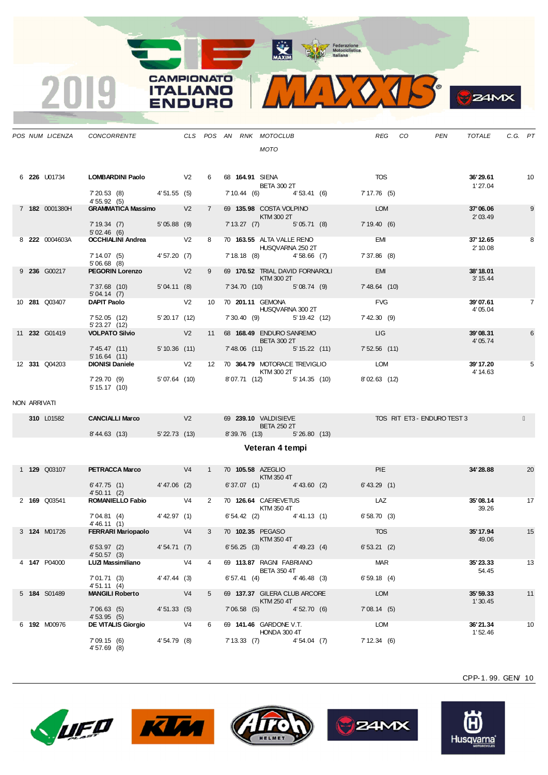

|              | POS NUM LICENZA | <b>CONCORRENTE</b>                        |              |                |                   |  | CLS POS AN RNK MOTOCLUB                        |                 | <b>REG</b>     | CO                         | <b>PEN</b> | <b>TOTALE</b>         | C.G. PT |                |
|--------------|-----------------|-------------------------------------------|--------------|----------------|-------------------|--|------------------------------------------------|-----------------|----------------|----------------------------|------------|-----------------------|---------|----------------|
|              |                 |                                           |              |                |                   |  | <b>MOTO</b>                                    |                 |                |                            |            |                       |         |                |
|              | 6 226 U01734    | <b>LOMBARDINI Paolo</b>                   | $\sqrt{2}$   |                | 6                 |  | 68 164.91 SIENA<br><b>BETA 300 2T</b>          |                 | <b>TOS</b>     |                            |            | 36'29.61<br>1'27.04   |         | 10             |
|              |                 | $7'20.53$ (8) $4'51.55$ (5)<br>4'55.92(5) |              |                |                   |  | 7' 10.44 (6)                                   | 4'53.41 (6)     | 7' 17.76 (5)   |                            |            |                       |         |                |
|              | 7 182 0001380H  | <b>GRAMMATICA Massimo V2</b>              |              |                | $7^{\circ}$       |  | 69 135.98 COSTA VOLPINO<br>KTM 300 2T          |                 | <b>LOM</b>     |                            |            | 37'06.06<br>2'03.49   |         | 9              |
|              |                 | 5'05.88(9)<br>7'19.34(7)<br>5'02.46(6)    |              |                |                   |  | $7' 13.27$ (7)                                 | 5'05.71(8)      | 7'19.40(6)     |                            |            |                       |         |                |
|              | 8 222 0004603A  | <b>OCCHIALINI Andrea</b>                  |              | V <sub>2</sub> | 8                 |  | 70 163.55 ALTA VALLE RENO<br>HUSQVARNA 250 2T  |                 | <b>EMI</b>     |                            |            | 37' 12.65<br>2' 10.08 |         | 8              |
|              |                 | 7'14.07(5)<br>$5'06.68$ (8)               | 4'57.20 (7)  |                |                   |  | 7' 18.18 (8)                                   | $4'58.66$ (7)   | 7'37.86 (8)    |                            |            |                       |         |                |
|              | 9 236 G00217    | <b>PEGORIN Lorenzo</b>                    |              | V <sub>2</sub> | 9                 |  | 69 170.52 TRIAL DAVID FORNAROLI<br>KTM 300 2T  |                 | <b>EMI</b>     |                            |            | 38' 18.01<br>3' 15.44 |         |                |
|              |                 | 7'37.68(10)<br>5'04.14(7)                 | 5'04.11(8)   |                |                   |  | 7' 34.70 (10)                                  | 5'08.74(9)      | 7' 48.64 (10)  |                            |            |                       |         |                |
|              | 10 281 Q03407   | <b>DAPIT Paolo</b>                        |              | V <sub>2</sub> | 10                |  | 70 201.11 GEMONA<br>HUSQVARNA 300 2T           |                 | <b>FVG</b>     |                            |            | 39'07.61<br>4'05.04   |         | $\overline{7}$ |
|              |                 | 7'52.05(12)<br>$5'$ 23.27 $(12)$          | 5'20.17(12)  |                |                   |  | 7' 30.40 (9)                                   | 5' 19.42 (12)   | 7' 42.30(9)    |                            |            |                       |         |                |
|              | 11 232 G01419   | <b>VOLPATO Silvio</b>                     |              | V <sub>2</sub> | 11                |  | 68 168.49 ENDURO SANREMO<br><b>BETA 300 2T</b> |                 | LIG            |                            |            | 39'08.31<br>4'05.74   |         | 6              |
|              |                 | 7' 45.47 (11)<br>5'16.64(11)              | 5'10.36(11)  |                |                   |  | 7'48.06 (11)                                   | $5' 15.22$ (11) | $7'52.56$ (11) |                            |            |                       |         |                |
|              | 12 331 Q04203   | <b>DIONISI Daniele</b>                    |              | V <sub>2</sub> | $12 \overline{ }$ |  | 70 364.79 MOTORACE TREVIGLIO<br>KTM 300 2T     |                 | <b>LOM</b>     |                            |            | 39' 17.20<br>4' 14.63 |         | 5              |
|              |                 | 7' 29.70 (9)<br>$5' 15.17$ (10)           | 5'07.64 (10) |                |                   |  | 8'07.71 (12)                                   | 5' 14.35 (10)   | 8'02.63 (12)   |                            |            |                       |         |                |
| NON ARRIVATI |                 |                                           |              |                |                   |  |                                                |                 |                |                            |            |                       |         |                |
|              | 210 101592      | CANCIAL LI Marco                          |              | $\sqrt{2}$     |                   |  | $60.22010$ VALDICIEVE                          |                 |                | TOP DIT ET? ENDLIDO TERT ? |            |                       |         |                |

**CAMPIONATO** 

**ITALIANO** 

**ENDURO** 

2019

| 310 L01582 | <b>CANCIALLI Marco</b> | V <sub>2</sub>    | 69 239.10 VALDISIEVE |                    | TOS RIT ET3 - ENDURO TEST 3 |  |
|------------|------------------------|-------------------|----------------------|--------------------|-----------------------------|--|
|            |                        |                   |                      | <b>BETA 250 2T</b> |                             |  |
|            | 8' 44.63(13)           | $5'$ 22.73 $(13)$ | 8'39.76(13)          | 5'26.80(13)        |                             |  |
|            |                        |                   | $\cdots$             |                    |                             |  |

## **Veteran 4 tempi**

| 1 <b>129 Q03107</b> | <b>PETRACCA Marco</b>       |              | V <sub>4</sub> |                | 70 105.58 AZEGLIO<br>KTM 350 4T                |                | <b>PIE</b>  | 34'28.88             | 20 |
|---------------------|-----------------------------|--------------|----------------|----------------|------------------------------------------------|----------------|-------------|----------------------|----|
|                     | 6' 47.75(1)<br>4'50.11(2)   | 4'47.06 (2)  |                |                | 6'37.07(1)                                     | $4' 43.60$ (2) | 6' 43.29(1) |                      |    |
| 2 169 Q03541        | <b>ROMANIELLO Fabio</b>     |              | V <sub>4</sub> | 2              | 70 126.64 CAEREVETUS<br>KTM 350 4T             |                | LAZ         | 35'08.14<br>39.26    | 17 |
|                     | 7'04.81(4)<br>4' 46.11 (1)  | 4' 42.97 (1) |                |                | 6'54.42(2)                                     | 4' 41.13(1)    | 6'58.70(3)  |                      |    |
| 3 124 M01726        | <b>FERRARI Mariopaolo</b>   |              | V <sub>4</sub> | 3              | 70 102.35 PEGASO<br>KTM 350 4T                 |                | <b>TOS</b>  | 35' 17.94<br>49.06   | 15 |
|                     | 6'53.97(2)<br>4'50.57(3)    | 4'54.71(7)   |                |                | 6'56.25(3)                                     | $4' 49.23$ (4) | 6'53.21(2)  |                      |    |
| 4 147 P04000        | <b>LUZI Massimiliano</b>    |              | V <sub>4</sub> | $\overline{4}$ | 69 113.87 RAGNI FABRIANO<br><b>BETA 350 4T</b> |                | <b>MAR</b>  | 35'23.33<br>54.45    | 13 |
|                     | 7'01.71(3)<br>4'51.11(4)    | 4'47.44 (3)  |                |                | 6'57.41(4)                                     | 4'46.48(3)     | 6'59.18(4)  |                      |    |
| 5 184 S01489        | <b>MANGILI Roberto</b>      |              | V <sub>4</sub> | 5              | 69 137.37 GILERA CLUB ARCORE<br>KTM 250 4T     |                | <b>LOM</b>  | 35' 59.33<br>1'30.45 | 11 |
|                     | 7'06.63(5)<br>4'53.95(5)    | 4'51.33(5)   |                |                | 7'06.58(5)                                     | 4'52.70(6)     | 7'08.14(5)  |                      |    |
| 6 192 M00976        | <b>DE VITALIS Giorgio</b>   |              | V <sub>4</sub> | 6              | 69 141.46 GARDONE V.T.<br>HONDA 300 4T         |                | <b>LOM</b>  | 36'21.34<br>1'52.46  | 10 |
|                     | 7'09.15(6)<br>$4'57.69$ (8) | 4'54.79(8)   |                |                | 7'13.33(7)                                     | 4'54.04(7)     | 7'12.34(6)  |                      |    |









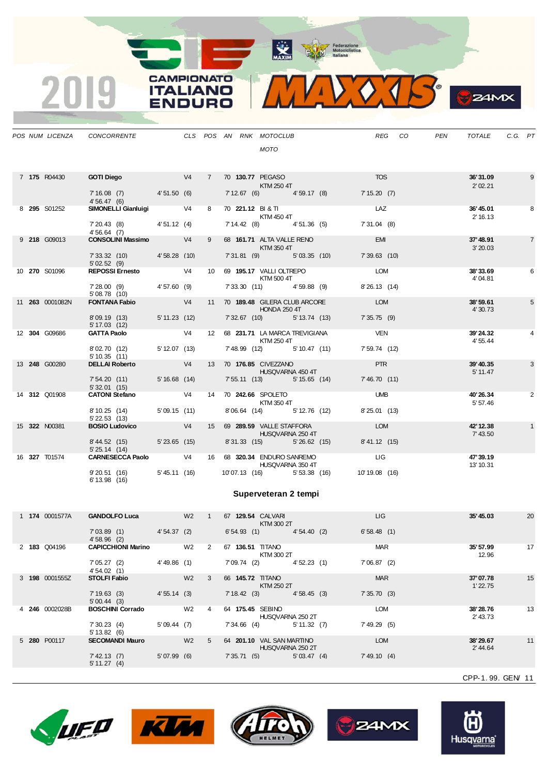

**B**Z4MX

|  |                 | POS NUM LICENZA CONCORRENTE                  |            |   |  | CLS POS AN RNK MOTOCLUB                            |                                           | REG           | CO | <b>PEN</b> | TOTALE                | C.G. PT |                |
|--|-----------------|----------------------------------------------|------------|---|--|----------------------------------------------------|-------------------------------------------|---------------|----|------------|-----------------------|---------|----------------|
|  |                 |                                              |            |   |  | <b>MOTO</b>                                        |                                           |               |    |            |                       |         |                |
|  |                 |                                              |            |   |  |                                                    |                                           |               |    |            |                       |         |                |
|  | 7 175 R04430    | <b>GOTI Diego</b>                            | $\sqrt{4}$ |   |  | 7 70 130.77 PEGASO                                 |                                           | <b>TOS</b>    |    |            | 36'31.09              |         | 9              |
|  |                 |                                              |            |   |  | KTM 250 4T                                         |                                           |               |    |            | 2'02.21               |         |                |
|  |                 | 7'16.08 (7) 4'51.50 (6)<br>4'56.47(6)        |            |   |  |                                                    | 7' 12.67 (6) 4' 59.17 (8) 7' 15.20 (7)    |               |    |            |                       |         |                |
|  | 8 295 S01252    | SIMONELLI Gianluigi V4                       |            | 8 |  | 70 221.12 BI&TI                                    |                                           | <b>LAZ</b>    |    |            | 36'45.01              |         | 8              |
|  |                 | $7'20.43$ (8) $4'51.12$ (4)                  |            |   |  | KTM 450 4T                                         | 7' 14.42 (8) 4' 51.36 (5) 7' 31.04 (8)    |               |    |            | 2' 16.13              |         |                |
|  |                 | 4'56.64(7)                                   |            |   |  |                                                    |                                           |               |    |            |                       |         |                |
|  | 9 218 G09013    | CONSOLINI Massimo V4                         |            | 9 |  | 68 161.71 ALTA VALLE RENO<br>KTM 350 4T            |                                           | <b>EMI</b>    |    |            | 37'48.91<br>3'20.03   |         | $\overline{7}$ |
|  |                 | 7'33.32 (10) 4'58.28 (10)                    |            |   |  |                                                    | 7'31.81 (9) 5'03.35 (10) 7'39.63 (10)     |               |    |            |                       |         |                |
|  | 10 270 S01096   | 5'02.52(9)<br>REPOSSI Ernesto V4             |            |   |  | 10 69 195.17 VALLI OLTREPO                         |                                           | <b>LOM</b>    |    |            | 38'33.69              |         | 6              |
|  |                 |                                              |            |   |  | KTM 500 4T                                         |                                           |               |    |            | 4'04.81               |         |                |
|  |                 | 7'28.00 (9) 4'57.60 (9)<br>5'08.78 (10)      |            |   |  |                                                    | 7' 33.30 (11) 4' 59.88 (9)                | 8' 26.13 (14) |    |            |                       |         |                |
|  | 11 263 0001082N | <b>FONTANA Fabio</b>                         | V4         |   |  | 11 70 189.48 GILERA CLUB ARCORE                    |                                           | <b>LOM</b>    |    |            | 38'59.61              |         | 5              |
|  |                 | 8'09.19 (13) 5'11.23 (12)                    |            |   |  | <b>HONDA 250 4T</b><br>7' 32.67 (10) 5' 13.74 (13) |                                           | 7'35.75(9)    |    |            | 4'30.73               |         |                |
|  |                 | 5' 17.03 (12)                                |            |   |  |                                                    |                                           |               |    |            |                       |         |                |
|  | 12 304 G09686   | GATTA Paolo V4                               |            |   |  |                                                    | 12 68 231.71 LA MARCA TREVIGIANA          | <b>VEN</b>    |    |            | 39'24.32              |         |                |
|  |                 | 8'02.70 (12) 5'12.07 (13)                    |            |   |  | KTM 250 4T<br>7' 48.99 (12) 5' 10.47 (11)          |                                           | 7' 59.74 (12) |    |            | 4' 55.44              |         |                |
|  |                 | 5'10.35(11)                                  |            |   |  |                                                    |                                           |               |    |            |                       |         |                |
|  | 13 248 G00280   | <b>DELLAI Roberto</b>                        | V4         |   |  | 13 70 176.85 CIVEZZANO<br>HUSQVARNA 450 4T         |                                           | <b>PTR</b>    |    |            | 39' 40.35<br>5' 11.47 |         | 3              |
|  |                 | 7' 54.20 (11) 5' 16.68 (14)                  |            |   |  |                                                    | 7' 55.11 (13) 5' 15.65 (14) 7' 46.70 (11) |               |    |            |                       |         |                |
|  | 14 312 Q01908   | 5'32.01(15)<br>CATONI Stefano V4             |            |   |  | 14 70 242.66 SPOLETO                               |                                           | <b>UMB</b>    |    |            | 40'26.34              |         | $\overline{2}$ |
|  |                 |                                              |            |   |  | KTM 350 4T                                         |                                           |               |    |            | 5' 57.46              |         |                |
|  |                 | 8' 10.25 (14) 5' 09.15 (11)                  |            |   |  |                                                    | 8'06.64 (14) 5'12.76 (12)                 | 8'25.01 (13)  |    |            |                       |         |                |
|  | 15 322 N00381   | $5'$ 22.53 $(13)$<br><b>BOSIO Ludovico</b>   | V4         |   |  | 15 69 289.59 VALLE STAFFORA                        |                                           | <b>LOM</b>    |    |            | 42' 12.38             |         | $\mathbf{1}$   |
|  |                 |                                              |            |   |  | HUSQVARNA 250 4T                                   |                                           |               |    |            | 7' 43.50              |         |                |
|  |                 | 8'44.52 (15) 5'23.65 (15)                    |            |   |  |                                                    | 8'31.33 (15) 5'26.62 (15) 8'41.12 (15)    |               |    |            |                       |         |                |
|  | 16 327 T01574   | 5'25.14(14)<br>CARNESECCA Paolo V4           |            |   |  |                                                    | 16 68 320.34 ENDURO SANREMO LIG           |               |    |            | 47'39.19              |         |                |
|  |                 |                                              |            |   |  | HUSQVARNA 350 4T                                   |                                           |               |    |            | 13' 10.31             |         |                |
|  |                 | 9'20.51 (16) 5'45.11 (16)<br>$6' 13.98$ (16) |            |   |  |                                                    | 10'07.13 (16) 5'53.38 (16) 10'19.08 (16)  |               |    |            |                       |         |                |

**CAMPIONATO** 

**ITALIANO** 

**ENDURO** 

2019

## **Superveteran 2 tempi**

|  | 1 174 0001577A | <b>GANDOLFO Luca</b>          |                | W <sub>2</sub> |             | 67 129.54 CALVARI<br>KTM 300 2T               |              | LIG            | 35'45.03             | 20 |
|--|----------------|-------------------------------|----------------|----------------|-------------|-----------------------------------------------|--------------|----------------|----------------------|----|
|  |                | 7'03.89(1)<br>4'58.96(2)      | 4'54.37(2)     |                |             | 6'54.93(1)                                    | 4'54.40(2)   | 6'58.48(1)     |                      |    |
|  | 2 183 Q04196   | <b>CAPICCHIONI Marino</b>     |                | W <sub>2</sub> | 2           | 67 136.51<br><b>TITANO</b><br>KTM 300 2T      |              | <b>MAR</b>     | 35' 57.99<br>12.96   | 17 |
|  |                | 7'05.27(2)<br>4'54.02(1)      | $4' 49.86$ (1) |                |             | 7'09.74(2)                                    | 4'52.23(1)   | 7'06.87(2)     |                      |    |
|  | 3 198 0001555Z | <b>STOLFI Fabio</b>           |                | W <sub>2</sub> | 3           | 66 145.72 TITANO<br>KTM 250 2T                |              | <b>MAR</b>     | 37'07.78<br>1'22.75  | 15 |
|  |                | 7'19.63(3)<br>5'00.44(3)      | 4'55.14(3)     |                |             | 7'18.42(3)                                    | 4'58.45(3)   | 7'35.70(3)     |                      |    |
|  | 4 246 0002028B | <b>BOSCHINI Corrado</b>       |                | W <sub>2</sub> | 4           | 64 175.45 SEBINO<br>HUSQVARNA 250 2T          |              | <b>LOM</b>     | 38'28.76<br>2' 43.73 | 13 |
|  |                | 7'30.23(4)<br>5' 13.82(6)     | 5'09.44(7)     |                |             | 7'34.66(4)                                    | 5' 11.32 (7) | 7'49.29(5)     |                      |    |
|  | 5 280 P00117   | <b>SECOMANDI Mauro</b>        |                | W <sub>2</sub> | $5^{\circ}$ | 64 201.10 VAL SAN MARTINO<br>HUSQVARNA 250 2T |              | <b>LOM</b>     | 38'29.67<br>2' 44.64 | 11 |
|  |                | 7' 42.13(7)<br>$5' 11.27$ (4) | $5'07.99$ (6)  |                |             | 7'35.71(5)                                    | 5'03.47(4)   | $7' 49.10$ (4) |                      |    |
|  |                |                               |                |                |             |                                               |              |                |                      |    |









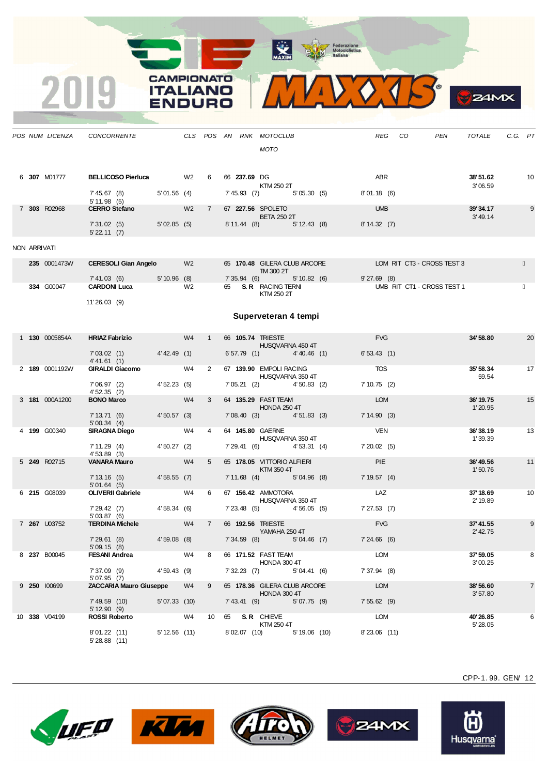CAMPIONATO **ITALIANO** 

INIDC













Husq<u>varna</u>

CPP-1. 99. GEN/ 12

 $24M<sub>X</sub>$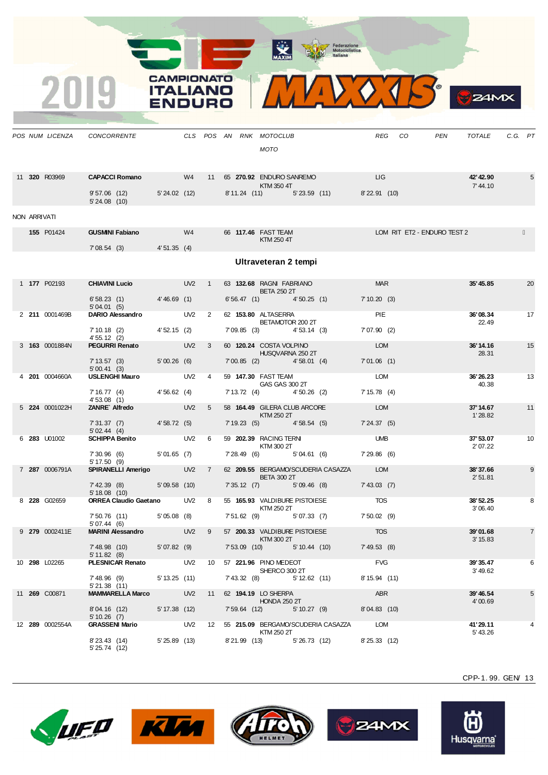X

CAMPIONATO **ITALIANO** 

INIDO













CPP-1. 99. GEN/ 13

 $24MX$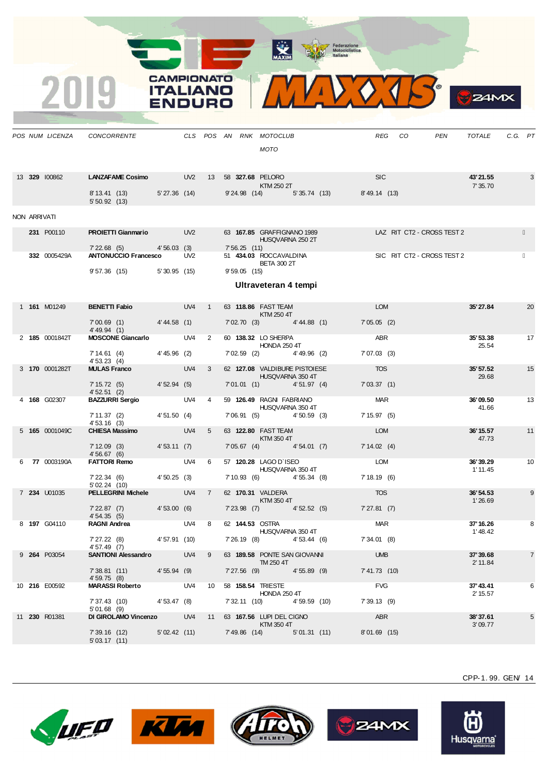**WAXIM** Federazione<br>
Motociclistica<br>
Italiana



*POS NUM LICENZA CONCORRENTE CLS POS AN RNK MOTOCLUB REG CO PEN TOTALE C.G. PT*

|  |                |                                                       |              |       |                         |                       | MOTO                                                                                                                                                                                                                             |                                              |                            |                |
|--|----------------|-------------------------------------------------------|--------------|-------|-------------------------|-----------------------|----------------------------------------------------------------------------------------------------------------------------------------------------------------------------------------------------------------------------------|----------------------------------------------|----------------------------|----------------|
|  | 13 329 100862  | LANZAFAME Cosimo UV2 13 58 327.68 PELORO              |              |       |                         |                       | KTM 250 2T                                                                                                                                                                                                                       | <b>SIC</b>                                   | 43'21.55<br>7' 35.70       | 3              |
|  |                | 8' 13.41 (13) 5' 27.36 (14)<br>5'50.92(13)            |              |       |                         |                       |                                                                                                                                                                                                                                  | $9'24.98$ (14) $5'35.74$ (13) $8'49.14$ (13) |                            |                |
|  | NON ARRIVATI   |                                                       |              |       |                         |                       |                                                                                                                                                                                                                                  |                                              |                            |                |
|  | 231 P00110     | <b>PROIETTI Gianmario</b> UV2                         |              |       |                         | <b>Contract</b>       | 63 167.85 GRAFFIGNANO 1989<br>HUSQVARNA 250 2T                                                                                                                                                                                   |                                              | LAZ RIT CT2 - CROSS TEST 2 |                |
|  | 332 0005429A   | 7' 22.68 (5) 4' 56.03 (3)<br>ANTONUCCIO Francesco UV2 |              |       |                         | 7'56.25(11)           | 51 434.03 ROCCAVALDINA                                                                                                                                                                                                           |                                              | SIC RIT CT2 - CROSS TEST 2 |                |
|  |                | 9'57.36 (15) 5'30.95 (15)                             |              |       |                         | $9'59.05$ (15)        | <b>BETA 300 2T</b>                                                                                                                                                                                                               |                                              |                            |                |
|  |                |                                                       |              |       |                         |                       | Ultraveteran 4 tempi                                                                                                                                                                                                             |                                              |                            |                |
|  |                |                                                       |              |       |                         |                       |                                                                                                                                                                                                                                  |                                              |                            |                |
|  | 1 161 M01249   | <b>BENETTI Fabio</b> UV4 1                            |              |       |                         | 63 118.86 FAST TEAM   | $\blacksquare$ $\blacksquare$ $\blacksquare$ $\blacksquare$ $\blacksquare$ $\blacksquare$ $\blacksquare$ $\blacksquare$ $\blacksquare$ $\blacksquare$ $\blacksquare$ $\blacksquare$ $\blacksquare$ $\blacksquare$ $\blacksquare$ | <b>LOM</b>                                   | 35'27.84                   | 20             |
|  |                | 7'00.69 (1) 4'44.58 (1)<br>4' 49.94 (1)               |              |       |                         |                       | 7'02.70 (3) 4'44.88 (1)                                                                                                                                                                                                          | 7'05.05(2)                                   |                            |                |
|  | 2 185 0001842T | <b>MOSCONE Giancarlo</b> UV4 2                        |              |       |                         | 60 138.32 LO SHERPA   | <b>HONDA 250 4T</b>                                                                                                                                                                                                              | ABR                                          | 35'53.38<br>25.54          | 17             |
|  |                | 7' 14.61 (4) 4' 45.96 (2)<br>4'53.23(4)               |              |       |                         |                       | $7'02.59$ (2) $4'49.96$ (2)                                                                                                                                                                                                      | 7'07.03(3)                                   |                            |                |
|  | 3 170 0001282T | <b>MULAS Franco</b>                                   | <b>UV4</b>   |       | $\overline{\mathbf{3}}$ |                       | 62 127.08 VALDIBURE PISTOIESE<br>HUSQVARNA 350 4T                                                                                                                                                                                | <b>TOS</b>                                   | 35' 57.52<br>29.68         | 15             |
|  |                | 7'15.72(5)<br>4'52.51(2)                              | 4'52.94(5)   |       |                         |                       | 7'01.01 (1) 4'51.97 (4)                                                                                                                                                                                                          | 7'03.37(1)                                   |                            |                |
|  | 4 168 G02307   | <b>BAZZURRI Sergio</b>                                |              | UV4   | $\overline{4}$          |                       | 59 126.49 RAGNI FABRIANO<br>HUSQVARNA 350 4T                                                                                                                                                                                     | <b>MAR</b>                                   | 36'09.50<br>41.66          | 13             |
|  |                | $7'11.37$ (2) $4'51.50$ (4)<br>4'53.16(3)             |              |       |                         |                       | 7' 06.91 (5) 4' 50.59 (3)                                                                                                                                                                                                        | 7'15.97(5)                                   |                            |                |
|  | 5 165 0001049C | <b>CHIESA Massimo</b> UV4 5                           |              |       |                         |                       | 63 122.80 FAST TEAM<br>KTM 350 4T                                                                                                                                                                                                | <b>LOM</b>                                   | 36' 15.57<br>47.73         | 11             |
|  |                | 7'12.09(3)<br>4'56.67(6)                              | 4'53.11 (7)  |       |                         |                       | 7'05.67 (4) 4'54.01 (7)                                                                                                                                                                                                          | 7'14.02(4)                                   |                            |                |
|  | 6 77 0003190A  | <b>FATTORI Remo</b>                                   |              | UV4 6 |                         | 57 120.28 LAGO D'ISEO | HUSQVARNA 350 4T                                                                                                                                                                                                                 | <b>LOM</b>                                   | 36'39.29<br>1' 11.45       | 10             |
|  |                | 7' 22.34 (6)<br>5'02.24(10)                           | 4'50.25 (3)  |       |                         |                       | $7'10.93(6)$ $4'55.34(8)$                                                                                                                                                                                                        | 7'18.19(6)                                   |                            |                |
|  | 7 234 U01035   | <b>PELLEGRINI Michele</b> UV4                         |              |       | $\overline{7}$          | 62 170.31 VALDERA     | KTM 350 4T                                                                                                                                                                                                                       | <b>TOS</b>                                   | 36'54.53<br>1'26.69        | 9              |
|  |                | 7'22.87 (7) 4'53.00 (6)<br>4'54.35(5)                 |              |       |                         |                       | 7'23.98 (7) 4'52.52 (5)                                                                                                                                                                                                          | 7'27.81(7)                                   |                            |                |
|  | 8 197 G04110   | RAGNI Andrea                                          |              | UV4 8 |                         | 62 144.53 OSTRA       | HUSQVARNA 350 4T                                                                                                                                                                                                                 | <b>MAR</b>                                   | 37' 16.26<br>1'48.42       | 8              |
|  |                | 7'27.22(8)<br>$4'57.49$ (7)                           | 4'57.91 (10) |       |                         |                       | 7'26.19 (8) 4'53.44 (6)                                                                                                                                                                                                          | 7'34.01(8)                                   |                            |                |
|  | 9 264 P03054   | <b>SANTIONI Alessandro</b>                            |              | UV4   | $9^{\circ}$             |                       | 63 189.58 PONTE SAN GIOVANNI<br>TM 250 4T                                                                                                                                                                                        | <b>UMB</b>                                   | 37' 39.68<br>2' 11.84      | $\overline{7}$ |
|  |                | 7' 38.81 (11) 4' 55.94 (9)<br>4'59.75(8)              |              |       |                         |                       | 7'27.56 (9) 4'55.89 (9)                                                                                                                                                                                                          | 7' 41.73 (10)                                |                            |                |
|  | 10 216 E00592  | MARASSI Roberto UV4                                   |              |       |                         | 10 58 158.54 TRIESTE  | HONDA 250 4T                                                                                                                                                                                                                     | <b>FVG</b>                                   | 37' 43.41<br>2' 15.57      | 6              |
|  |                | 7' 37.43 (10)<br>$5'01.68$ (9)                        | 4'53.47 (8)  |       |                         |                       | 7' 32.11 (10) 4' 59.59 (10)                                                                                                                                                                                                      | 7'39.13(9)                                   |                            |                |
|  | 11 230 R01381  | DI GIROLAMO Vincenzo UV4 11 63 167.56 LUPI DEL CIGNO  |              |       |                         |                       | KTM 350 4T                                                                                                                                                                                                                       | ABR                                          | 38'37.61<br>3'09.77        | 5              |
|  |                | 7' 39.16 (12)<br>$5'$ 03.17 (11)                      | 5'02.42(11)  |       |                         |                       | 7'49.86 (14) 5'01.31 (11)                                                                                                                                                                                                        | 8'01.69 (15)                                 |                            |                |

CPP-1. 99. GEN/ 14

 $24MX$